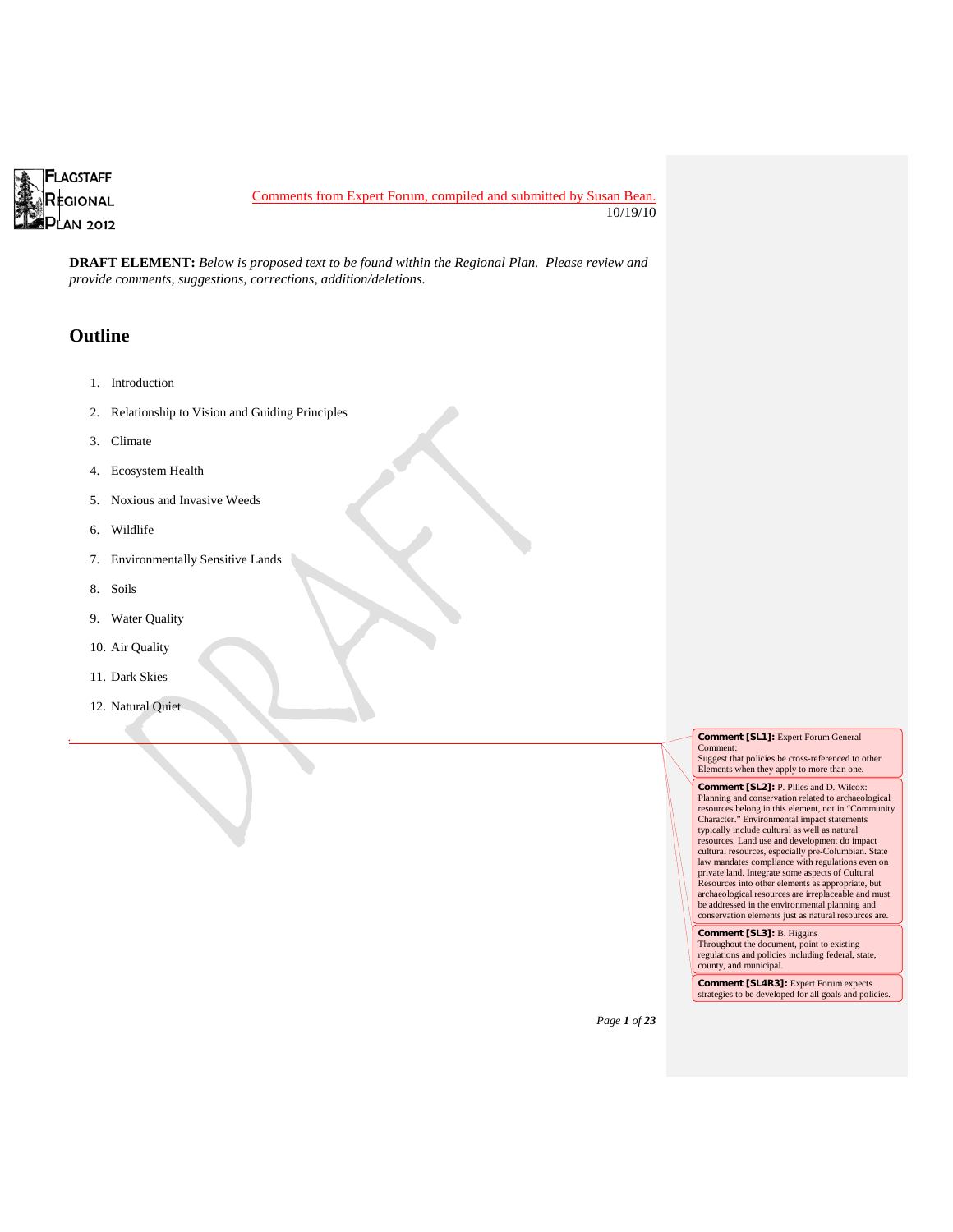

**DRAFT ELEMENT:** *Below is proposed text to be found within the Regional Plan. Please review and provide comments, suggestions, corrections, addition/deletions.* 

## **Outline**

- 1. Introduction
- 2. Relationship to Vision and Guiding Principles
- 3. Climate
- 4. Ecosystem Health
- 5. Noxious and Invasive Weeds
- 6. Wildlife
- 7. Environmentally Sensitive Lands
- 8. Soils
- 9. Water Quality
- 10. Air Quality
- 11. Dark Skies
- 12. Natural Quiet

#### **Comment [SL1]:** Expert Forum General

Comment: Suggest that policies be cross-referenced to other Elements when they apply to more than one.

**Comment [SL2]:** P. Pilles and D. Wilcox: Planning and conservation related to archaeological resources belong in this element, not in "Community Character." Environmental impact statements typically include cultural as well as natural resources. Land use and development do impact cultural resources, especially pre-Columbian. State law mandates compliance with regulations even on private land. Integrate some aspects of Cultural Resources into other elements as appropriate, but archaeological resources are irreplaceable and must be addressed in the environmental planning and conservation elements just as natural resources are.

**Comment [SL3]:** B. Higgins

Throughout the document, point to existing regulations and policies including federal, state, county, and municipal.

**Comment [SL4R3]:** Expert Forum expects strategies to be developed for all goals and policies.

*Page 1 of 23*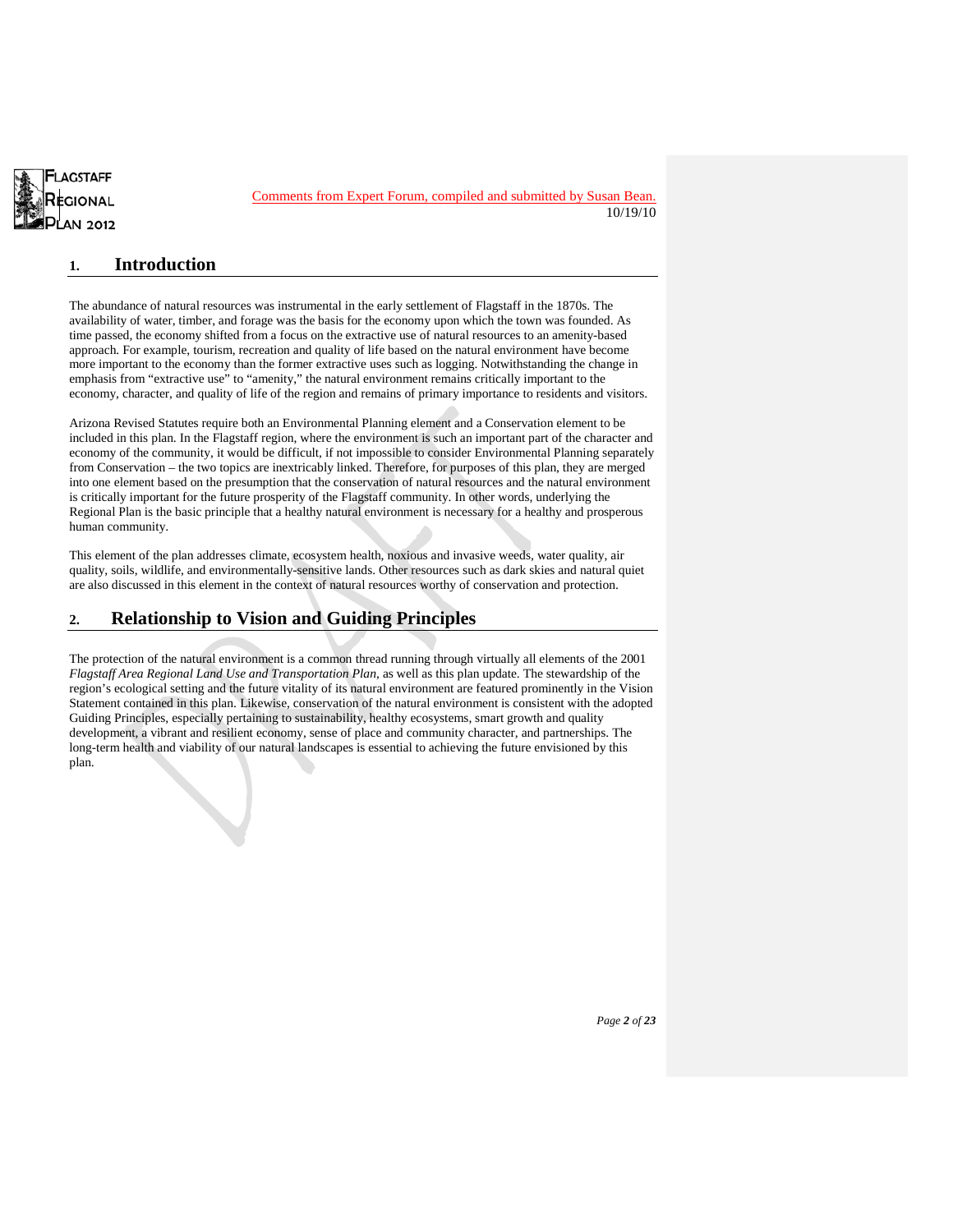

### **1. Introduction**

The abundance of natural resources was instrumental in the early settlement of Flagstaff in the 1870s. The availability of water, timber, and forage was the basis for the economy upon which the town was founded. As time passed, the economy shifted from a focus on the extractive use of natural resources to an amenity-based approach. For example, tourism, recreation and quality of life based on the natural environment have become more important to the economy than the former extractive uses such as logging. Notwithstanding the change in emphasis from "extractive use" to "amenity," the natural environment remains critically important to the economy, character, and quality of life of the region and remains of primary importance to residents and visitors.

Arizona Revised Statutes require both an Environmental Planning element and a Conservation element to be included in this plan. In the Flagstaff region, where the environment is such an important part of the character and economy of the community, it would be difficult, if not impossible to consider Environmental Planning separately from Conservation – the two topics are inextricably linked. Therefore, for purposes of this plan, they are merged into one element based on the presumption that the conservation of natural resources and the natural environment is critically important for the future prosperity of the Flagstaff community. In other words, underlying the Regional Plan is the basic principle that a healthy natural environment is necessary for a healthy and prosperous human community.

This element of the plan addresses climate, ecosystem health, noxious and invasive weeds, water quality, air quality, soils, wildlife, and environmentally-sensitive lands. Other resources such as dark skies and natural quiet are also discussed in this element in the context of natural resources worthy of conservation and protection.

## **2. Relationship to Vision and Guiding Principles**

The protection of the natural environment is a common thread running through virtually all elements of the 2001 *Flagstaff Area Regional Land Use and Transportation Plan*, as well as this plan update. The stewardship of the region's ecological setting and the future vitality of its natural environment are featured prominently in the Vision Statement contained in this plan. Likewise, conservation of the natural environment is consistent with the adopted Guiding Principles, especially pertaining to sustainability, healthy ecosystems, smart growth and quality development, a vibrant and resilient economy, sense of place and community character, and partnerships. The long-term health and viability of our natural landscapes is essential to achieving the future envisioned by this plan.

*Page 2 of 23*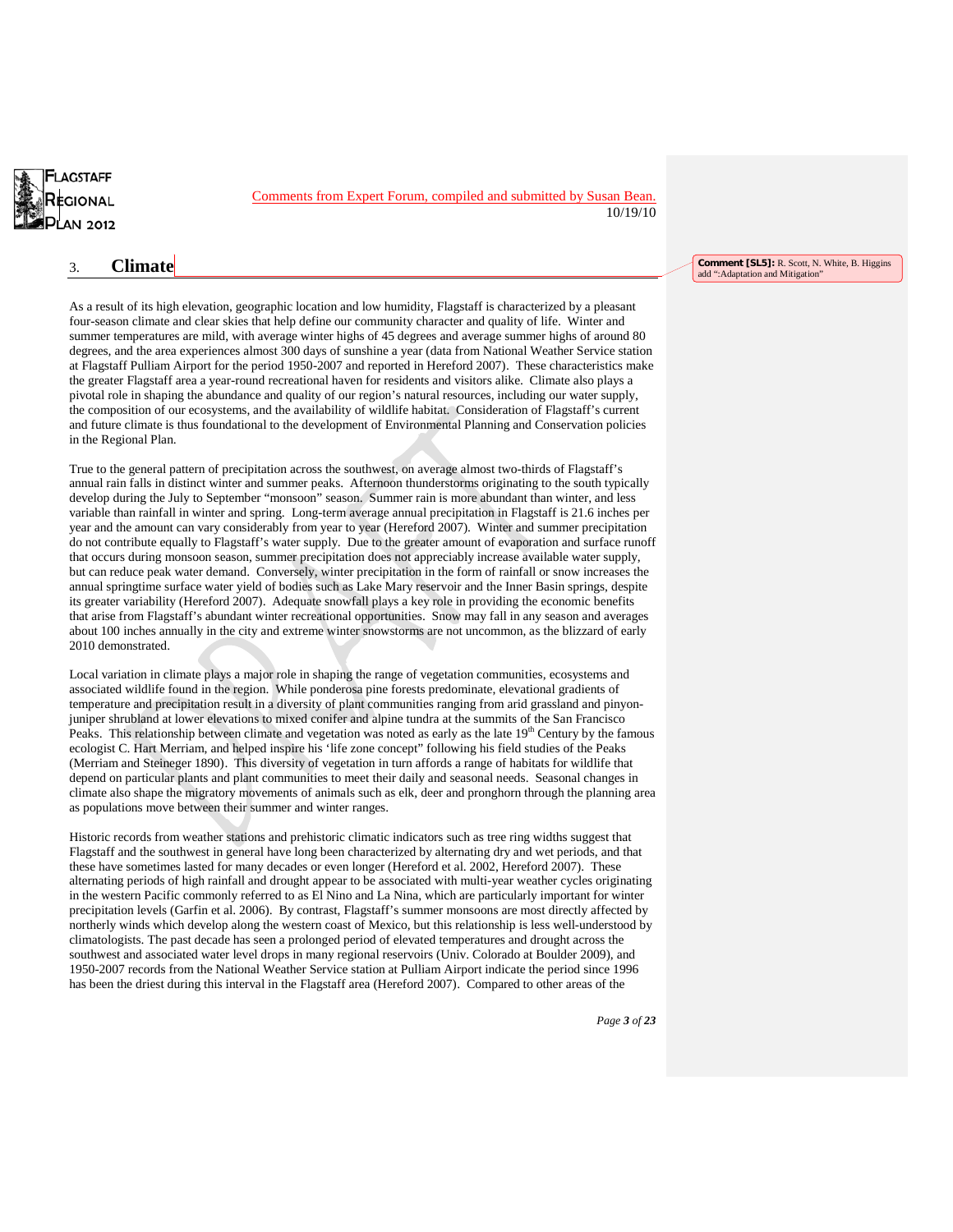

### 3. **Climate**

As a result of its high elevation, geographic location and low humidity, Flagstaff is characterized by a pleasant four-season climate and clear skies that help define our community character and quality of life. Winter and summer temperatures are mild, with average winter highs of 45 degrees and average summer highs of around 80 degrees, and the area experiences almost 300 days of sunshine a year (data from National Weather Service station at Flagstaff Pulliam Airport for the period 1950-2007 and reported in Hereford 2007). These characteristics make the greater Flagstaff area a year-round recreational haven for residents and visitors alike. Climate also plays a pivotal role in shaping the abundance and quality of our region's natural resources, including our water supply, the composition of our ecosystems, and the availability of wildlife habitat. Consideration of Flagstaff's current and future climate is thus foundational to the development of Environmental Planning and Conservation policies in the Regional Plan.

True to the general pattern of precipitation across the southwest, on average almost two-thirds of Flagstaff's annual rain falls in distinct winter and summer peaks. Afternoon thunderstorms originating to the south typically develop during the July to September "monsoon" season. Summer rain is more abundant than winter, and less variable than rainfall in winter and spring. Long-term average annual precipitation in Flagstaff is 21.6 inches per year and the amount can vary considerably from year to year (Hereford 2007). Winter and summer precipitation do not contribute equally to Flagstaff's water supply. Due to the greater amount of evaporation and surface runoff that occurs during monsoon season, summer precipitation does not appreciably increase available water supply, but can reduce peak water demand. Conversely, winter precipitation in the form of rainfall or snow increases the annual springtime surface water yield of bodies such as Lake Mary reservoir and the Inner Basin springs, despite its greater variability (Hereford 2007). Adequate snowfall plays a key role in providing the economic benefits that arise from Flagstaff's abundant winter recreational opportunities. Snow may fall in any season and averages about 100 inches annually in the city and extreme winter snowstorms are not uncommon, as the blizzard of early 2010 demonstrated.

Local variation in climate plays a major role in shaping the range of vegetation communities, ecosystems and associated wildlife found in the region. While ponderosa pine forests predominate, elevational gradients of temperature and precipitation result in a diversity of plant communities ranging from arid grassland and pinyonjuniper shrubland at lower elevations to mixed conifer and alpine tundra at the summits of the San Francisco Peaks. This relationship between climate and vegetation was noted as early as the late  $19<sup>th</sup>$  Century by the famous ecologist C. Hart Merriam, and helped inspire his 'life zone concept" following his field studies of the Peaks (Merriam and Steineger 1890). This diversity of vegetation in turn affords a range of habitats for wildlife that depend on particular plants and plant communities to meet their daily and seasonal needs. Seasonal changes in climate also shape the migratory movements of animals such as elk, deer and pronghorn through the planning area as populations move between their summer and winter ranges.

Historic records from weather stations and prehistoric climatic indicators such as tree ring widths suggest that Flagstaff and the southwest in general have long been characterized by alternating dry and wet periods, and that these have sometimes lasted for many decades or even longer (Hereford et al. 2002, Hereford 2007). These alternating periods of high rainfall and drought appear to be associated with multi-year weather cycles originating in the western Pacific commonly referred to as El Nino and La Nina, which are particularly important for winter precipitation levels (Garfin et al. 2006). By contrast, Flagstaff's summer monsoons are most directly affected by northerly winds which develop along the western coast of Mexico, but this relationship is less well-understood by climatologists. The past decade has seen a prolonged period of elevated temperatures and drought across the southwest and associated water level drops in many regional reservoirs (Univ. Colorado at Boulder 2009), and 1950-2007 records from the National Weather Service station at Pulliam Airport indicate the period since 1996 has been the driest during this interval in the Flagstaff area (Hereford 2007). Compared to other areas of the

**Comment [SL5]:** R. Scott, N. White, B. Higgins add ":Adaptation and Mitigation"

*Page 3 of 23*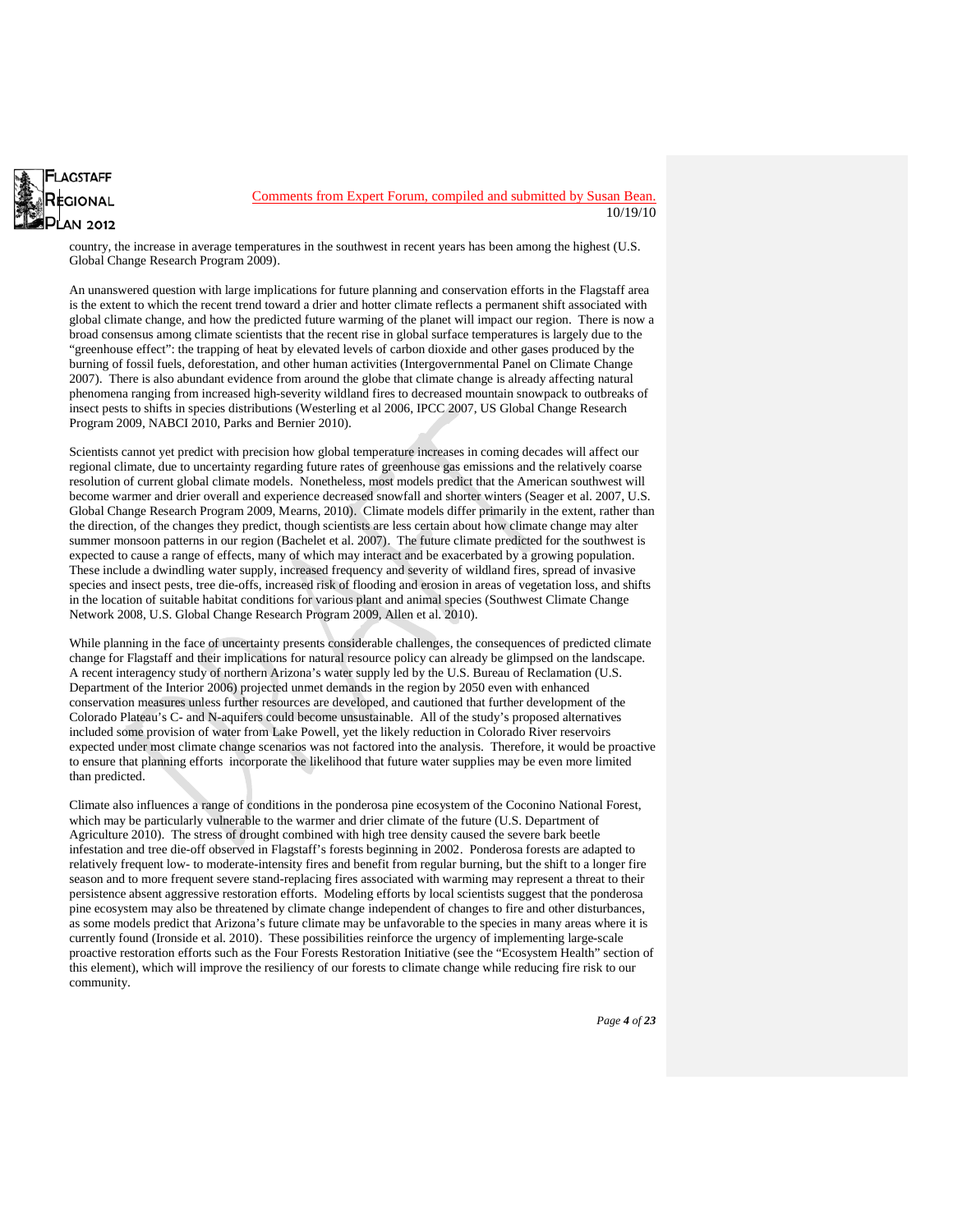

country, the increase in average temperatures in the southwest in recent years has been among the highest (U.S. Global Change Research Program 2009).

An unanswered question with large implications for future planning and conservation efforts in the Flagstaff area is the extent to which the recent trend toward a drier and hotter climate reflects a permanent shift associated with global climate change, and how the predicted future warming of the planet will impact our region. There is now a broad consensus among climate scientists that the recent rise in global surface temperatures is largely due to the "greenhouse effect": the trapping of heat by elevated levels of carbon dioxide and other gases produced by the burning of fossil fuels, deforestation, and other human activities (Intergovernmental Panel on Climate Change 2007). There is also abundant evidence from around the globe that climate change is already affecting natural phenomena ranging from increased high-severity wildland fires to decreased mountain snowpack to outbreaks of insect pests to shifts in species distributions (Westerling et al 2006, IPCC 2007, US Global Change Research Program 2009, NABCI 2010, Parks and Bernier 2010).

Scientists cannot yet predict with precision how global temperature increases in coming decades will affect our regional climate, due to uncertainty regarding future rates of greenhouse gas emissions and the relatively coarse resolution of current global climate models. Nonetheless, most models predict that the American southwest will become warmer and drier overall and experience decreased snowfall and shorter winters (Seager et al. 2007, U.S. Global Change Research Program 2009, Mearns, 2010). Climate models differ primarily in the extent, rather than the direction, of the changes they predict, though scientists are less certain about how climate change may alter summer monsoon patterns in our region (Bachelet et al. 2007). The future climate predicted for the southwest is expected to cause a range of effects, many of which may interact and be exacerbated by a growing population. These include a dwindling water supply, increased frequency and severity of wildland fires, spread of invasive species and insect pests, tree die-offs, increased risk of flooding and erosion in areas of vegetation loss, and shifts in the location of suitable habitat conditions for various plant and animal species (Southwest Climate Change Network 2008, U.S. Global Change Research Program 2009, Allen et al. 2010).

While planning in the face of uncertainty presents considerable challenges, the consequences of predicted climate change for Flagstaff and their implications for natural resource policy can already be glimpsed on the landscape. A recent interagency study of northern Arizona's water supply led by the U.S. Bureau of Reclamation (U.S. Department of the Interior 2006) projected unmet demands in the region by 2050 even with enhanced conservation measures unless further resources are developed, and cautioned that further development of the Colorado Plateau's C- and N-aquifers could become unsustainable. All of the study's proposed alternatives included some provision of water from Lake Powell, yet the likely reduction in Colorado River reservoirs expected under most climate change scenarios was not factored into the analysis. Therefore, it would be proactive to ensure that planning efforts incorporate the likelihood that future water supplies may be even more limited than predicted.

Climate also influences a range of conditions in the ponderosa pine ecosystem of the Coconino National Forest, which may be particularly vulnerable to the warmer and drier climate of the future (U.S. Department of Agriculture 2010). The stress of drought combined with high tree density caused the severe bark beetle infestation and tree die-off observed in Flagstaff's forests beginning in 2002. Ponderosa forests are adapted to relatively frequent low- to moderate-intensity fires and benefit from regular burning, but the shift to a longer fire season and to more frequent severe stand-replacing fires associated with warming may represent a threat to their persistence absent aggressive restoration efforts. Modeling efforts by local scientists suggest that the ponderosa pine ecosystem may also be threatened by climate change independent of changes to fire and other disturbances, as some models predict that Arizona's future climate may be unfavorable to the species in many areas where it is currently found (Ironside et al. 2010). These possibilities reinforce the urgency of implementing large-scale proactive restoration efforts such as the Four Forests Restoration Initiative (see the "Ecosystem Health" section of this element), which will improve the resiliency of our forests to climate change while reducing fire risk to our community.

*Page 4 of 23*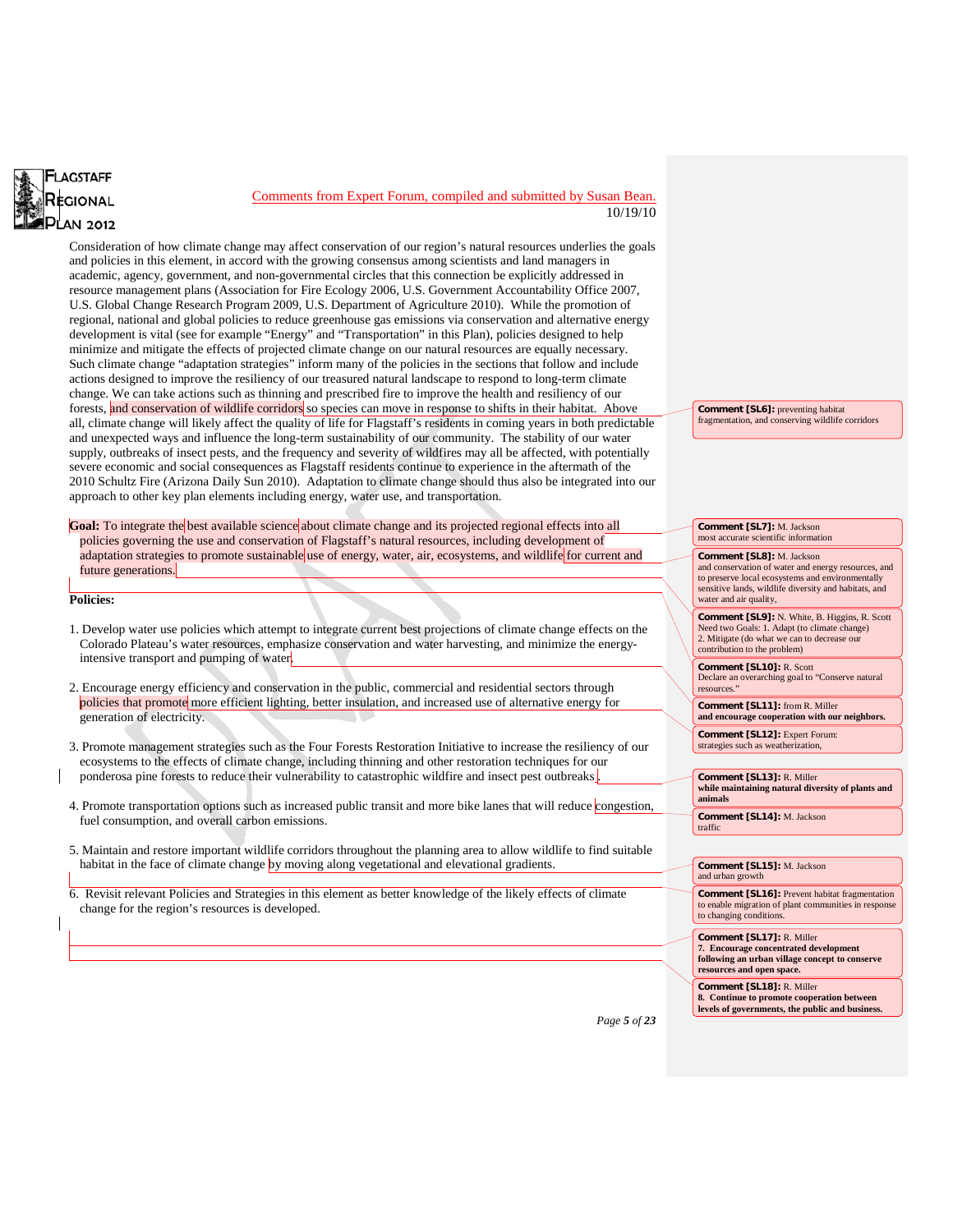

Consideration of how climate change may affect conservation of our region's natural resources underlies the goals and policies in this element, in accord with the growing consensus among scientists and land managers in academic, agency, government, and non-governmental circles that this connection be explicitly addressed in resource management plans (Association for Fire Ecology 2006, U.S. Government Accountability Office 2007, U.S. Global Change Research Program 2009, U.S. Department of Agriculture 2010). While the promotion of regional, national and global policies to reduce greenhouse gas emissions via conservation and alternative energy development is vital (see for example "Energy" and "Transportation" in this Plan), policies designed to help minimize and mitigate the effects of projected climate change on our natural resources are equally necessary. Such climate change "adaptation strategies" inform many of the policies in the sections that follow and include actions designed to improve the resiliency of our treasured natural landscape to respond to long-term climate change. We can take actions such as thinning and prescribed fire to improve the health and resiliency of our forests, and conservation of wildlife corridors so species can move in response to shifts in their habitat. Above all, climate change will likely affect the quality of life for Flagstaff's residents in coming years in both predictable and unexpected ways and influence the long-term sustainability of our community. The stability of our water supply, outbreaks of insect pests, and the frequency and severity of wildfires may all be affected, with potentially severe economic and social consequences as Flagstaff residents continue to experience in the aftermath of the 2010 Schultz Fire (Arizona Daily Sun 2010). Adaptation to climate change should thus also be integrated into our approach to other key plan elements including energy, water use, and transportation.

Goal: To integrate the best available science about climate change and its projected regional effects into all policies governing the use and conservation of Flagstaff's natural resources, including development of adaptation strategies to promote sustainable use of energy, water, air, ecosystems, and wildlife for current and future generations.

#### **Policies:**

- 1. Develop water use policies which attempt to integrate current best projections of climate change effects on the Colorado Plateau's water resources, emphasize conservation and water harvesting, and minimize the energyintensive transport and pumping of water.
- 2. Encourage energy efficiency and conservation in the public, commercial and residential sectors through policies that promote more efficient lighting, better insulation, and increased use of alternative energy for generation of electricity.
- 3. Promote management strategies such as the Four Forests Restoration Initiative to increase the resiliency of our ecosystems to the effects of climate change, including thinning and other restoration techniques for our ponderosa pine forests to reduce their vulnerability to catastrophic wildfire and insect pest outbreaks
- 4. Promote transportation options such as increased public transit and more bike lanes that will reduce congestion, fuel consumption, and overall carbon emissions.
- 5. Maintain and restore important wildlife corridors throughout the planning area to allow wildlife to find suitable habitat in the face of climate change by moving along vegetational and elevational gradients.

6. Revisit relevant Policies and Strategies in this element as better knowledge of the likely effects of climate change for the region's resources is developed.

**Comment [SL6]:** preventing habitat fragmentation, and conserving wildlife corridors

**Comment [SL7]:** M. Jackson most accurate scientific information

**Comment [SL8]:** M. Jackson and conservation of water and energy resources, and to preserve local ecosystems and environmentally sensitive lands, wildlife diversity and habitats, and water and air quality,

**Comment [SL9]:** N. White, B. Higgins, R. Scott Need two Goals: 1. Adapt (to climate change) 2. Mitigate (do what we can to decrease our contribution to the problem)

**Comment [SL10]:** R. Scott Declare an overarching goal to "Conserve natural resources."

**Comment [SL11]:** from R. Miller **and encourage cooperation with our neighbors.**

**Comment [SL12]:** Expert Forum: strategies such as weatherization,

**Comment [SL13]:** R. Miller **while maintaining natural diversity of plants and animals Comment [SL14]:** M. Jackson

**Comment [SL15]:** M. Jackson and urban growth

traffic

**Comment [SL16]:** Prevent habitat fragmentation to enable migration of plant communities in response to changing conditions.

**Comment [SL17]:** R. Miller **7. Encourage concentrated development following an urban village concept to conserve resources and open space.**

**Comment [SL18]:** R. Miller **8. Continue to promote cooperation between levels of governments, the public and business.**

*Page 5 of 23*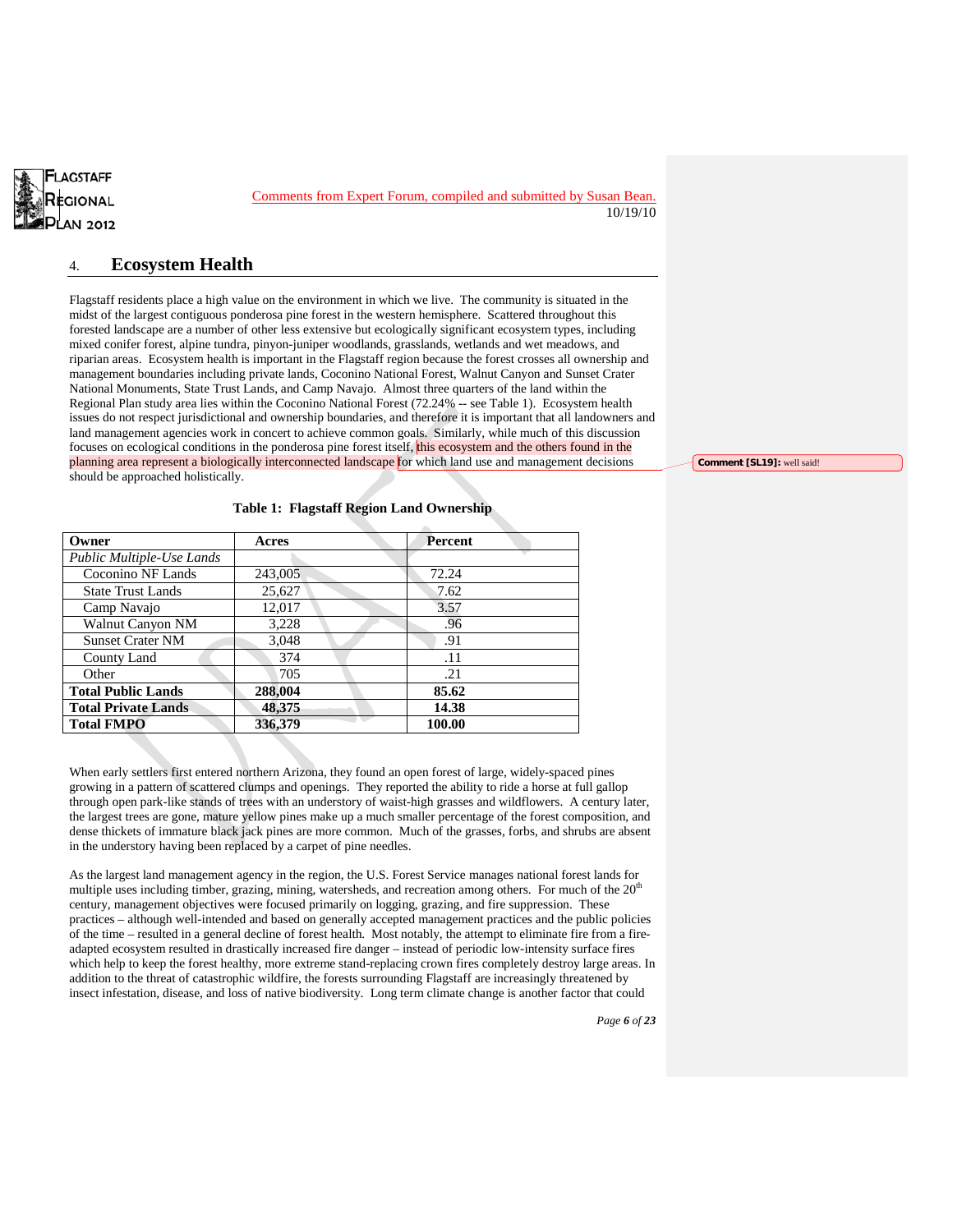

### 4. **Ecosystem Health**

Flagstaff residents place a high value on the environment in which we live. The community is situated in the midst of the largest contiguous ponderosa pine forest in the western hemisphere. Scattered throughout this forested landscape are a number of other less extensive but ecologically significant ecosystem types, including mixed conifer forest, alpine tundra, pinyon-juniper woodlands, grasslands, wetlands and wet meadows, and riparian areas. Ecosystem health is important in the Flagstaff region because the forest crosses all ownership and management boundaries including private lands, Coconino National Forest, Walnut Canyon and Sunset Crater National Monuments, State Trust Lands, and Camp Navajo. Almost three quarters of the land within the Regional Plan study area lies within the Coconino National Forest (72.24% -- see Table 1). Ecosystem health issues do not respect jurisdictional and ownership boundaries, and therefore it is important that all landowners and land management agencies work in concert to achieve common goals. Similarly, while much of this discussion focuses on ecological conditions in the ponderosa pine forest itself, this ecosystem and the others found in the planning area represent a biologically interconnected landscape for which land use and management decisions should be approached holistically.

### **Table 1: Flagstaff Region Land Ownership**

| Owner                      | Acres   | Percent |
|----------------------------|---------|---------|
| Public Multiple-Use Lands  |         |         |
| Coconino NF Lands          | 243,005 | 72.24   |
| <b>State Trust Lands</b>   | 25,627  | 7.62    |
| Camp Navajo                | 12,017  | 3.57    |
| Walnut Canyon NM           | 3,228   | .96     |
| <b>Sunset Crater NM</b>    | 3,048   | .91     |
| County Land                | 374     | .11     |
| Other                      | 705     | .21     |
| <b>Total Public Lands</b>  | 288,004 | 85.62   |
| <b>Total Private Lands</b> | 48,375  | 14.38   |
| <b>Total FMPO</b>          | 336,379 | 100.00  |

When early settlers first entered northern Arizona, they found an open forest of large, widely-spaced pines growing in a pattern of scattered clumps and openings. They reported the ability to ride a horse at full gallop through open park-like stands of trees with an understory of waist-high grasses and wildflowers. A century later, the largest trees are gone, mature yellow pines make up a much smaller percentage of the forest composition, and dense thickets of immature black jack pines are more common. Much of the grasses, forbs, and shrubs are absent in the understory having been replaced by a carpet of pine needles.

As the largest land management agency in the region, the U.S. Forest Service manages national forest lands for multiple uses including timber, grazing, mining, watersheds, and recreation among others. For much of the 20<sup>th</sup> century, management objectives were focused primarily on logging, grazing, and fire suppression. These practices – although well-intended and based on generally accepted management practices and the public policies of the time – resulted in a general decline of forest health. Most notably, the attempt to eliminate fire from a fireadapted ecosystem resulted in drastically increased fire danger – instead of periodic low-intensity surface fires which help to keep the forest healthy, more extreme stand-replacing crown fires completely destroy large areas. In addition to the threat of catastrophic wildfire, the forests surrounding Flagstaff are increasingly threatened by insect infestation, disease, and loss of native biodiversity. Long term climate change is another factor that could

*Page 6 of 23*

**Comment [SL19]:** well said!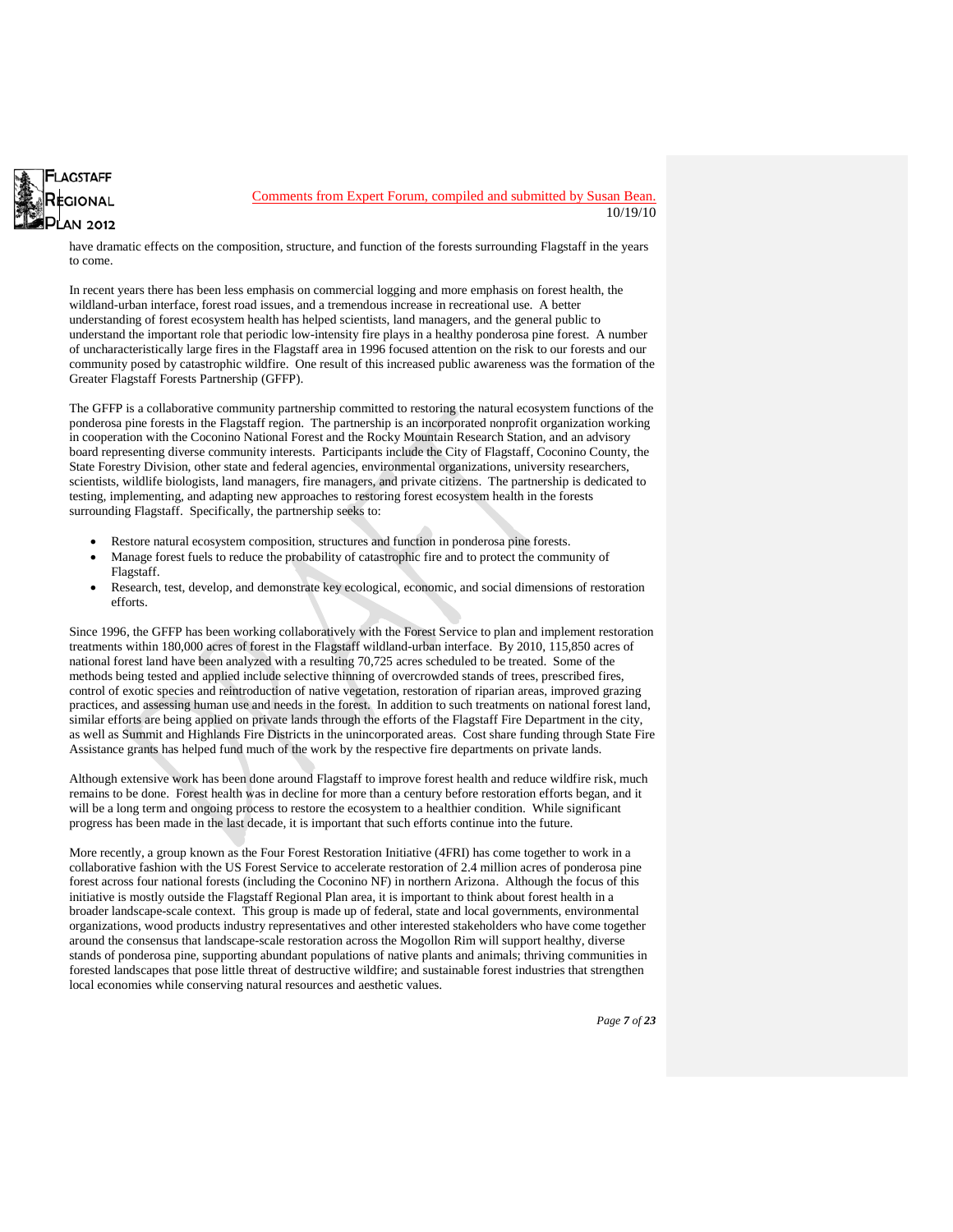

have dramatic effects on the composition, structure, and function of the forests surrounding Flagstaff in the years to come.

In recent years there has been less emphasis on commercial logging and more emphasis on forest health, the wildland-urban interface, forest road issues, and a tremendous increase in recreational use. A better understanding of forest ecosystem health has helped scientists, land managers, and the general public to understand the important role that periodic low-intensity fire plays in a healthy ponderosa pine forest. A number of uncharacteristically large fires in the Flagstaff area in 1996 focused attention on the risk to our forests and our community posed by catastrophic wildfire. One result of this increased public awareness was the formation of the Greater Flagstaff Forests Partnership (GFFP).

The GFFP is a collaborative community partnership committed to restoring the natural ecosystem functions of the ponderosa pine forests in the Flagstaff region. The partnership is an incorporated nonprofit organization working in cooperation with the Coconino National Forest and the Rocky Mountain Research Station, and an advisory board representing diverse community interests. Participants include the City of Flagstaff, Coconino County, the State Forestry Division, other state and federal agencies, environmental organizations, university researchers, scientists, wildlife biologists, land managers, fire managers, and private citizens. The partnership is dedicated to testing, implementing, and adapting new approaches to restoring forest ecosystem health in the forests surrounding Flagstaff. Specifically, the partnership seeks to:

- Restore natural ecosystem composition, structures and function in ponderosa pine forests.
- Manage forest fuels to reduce the probability of catastrophic fire and to protect the community of Flagstaff.
- Research, test, develop, and demonstrate key ecological, economic, and social dimensions of restoration efforts.

Since 1996, the GFFP has been working collaboratively with the Forest Service to plan and implement restoration treatments within 180,000 acres of forest in the Flagstaff wildland-urban interface. By 2010, 115,850 acres of national forest land have been analyzed with a resulting 70,725 acres scheduled to be treated. Some of the methods being tested and applied include selective thinning of overcrowded stands of trees, prescribed fires, control of exotic species and reintroduction of native vegetation, restoration of riparian areas, improved grazing practices, and assessing human use and needs in the forest. In addition to such treatments on national forest land, similar efforts are being applied on private lands through the efforts of the Flagstaff Fire Department in the city, as well as Summit and Highlands Fire Districts in the unincorporated areas. Cost share funding through State Fire Assistance grants has helped fund much of the work by the respective fire departments on private lands.

Although extensive work has been done around Flagstaff to improve forest health and reduce wildfire risk, much remains to be done. Forest health was in decline for more than a century before restoration efforts began, and it will be a long term and ongoing process to restore the ecosystem to a healthier condition. While significant progress has been made in the last decade, it is important that such efforts continue into the future.

More recently, a group known as the Four Forest Restoration Initiative (4FRI) has come together to work in a collaborative fashion with the US Forest Service to accelerate restoration of 2.4 million acres of ponderosa pine forest across four national forests (including the Coconino NF) in northern Arizona. Although the focus of this initiative is mostly outside the Flagstaff Regional Plan area, it is important to think about forest health in a broader landscape-scale context. This group is made up of federal, state and local governments, environmental organizations, wood products industry representatives and other interested stakeholders who have come together around the consensus that landscape-scale restoration across the Mogollon Rim will support healthy, diverse stands of ponderosa pine, supporting abundant populations of native plants and animals; thriving communities in forested landscapes that pose little threat of destructive wildfire; and sustainable forest industries that strengthen local economies while conserving natural resources and aesthetic values.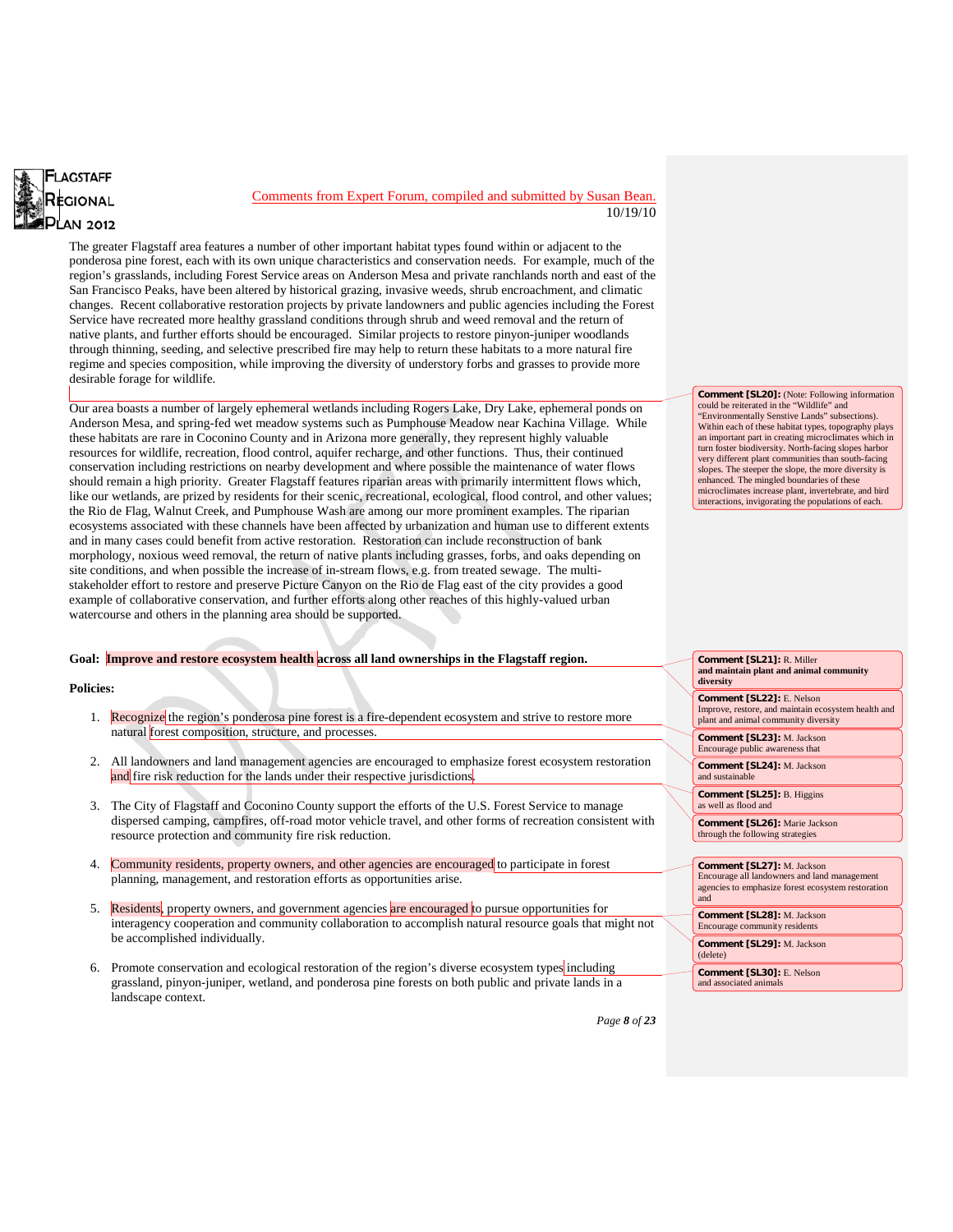

The greater Flagstaff area features a number of other important habitat types found within or adjacent to the ponderosa pine forest, each with its own unique characteristics and conservation needs. For example, much of the region's grasslands, including Forest Service areas on Anderson Mesa and private ranchlands north and east of the San Francisco Peaks, have been altered by historical grazing, invasive weeds, shrub encroachment, and climatic changes. Recent collaborative restoration projects by private landowners and public agencies including the Forest Service have recreated more healthy grassland conditions through shrub and weed removal and the return of native plants, and further efforts should be encouraged. Similar projects to restore pinyon-juniper woodlands through thinning, seeding, and selective prescribed fire may help to return these habitats to a more natural fire regime and species composition, while improving the diversity of understory forbs and grasses to provide more desirable forage for wildlife.

Our area boasts a number of largely ephemeral wetlands including Rogers Lake, Dry Lake, ephemeral ponds on Anderson Mesa, and spring-fed wet meadow systems such as Pumphouse Meadow near Kachina Village. While these habitats are rare in Coconino County and in Arizona more generally, they represent highly valuable resources for wildlife, recreation, flood control, aquifer recharge, and other functions. Thus, their continued conservation including restrictions on nearby development and where possible the maintenance of water flows should remain a high priority. Greater Flagstaff features riparian areas with primarily intermittent flows which, like our wetlands, are prized by residents for their scenic, recreational, ecological, flood control, and other values; the Rio de Flag, Walnut Creek, and Pumphouse Wash are among our more prominent examples. The riparian ecosystems associated with these channels have been affected by urbanization and human use to different extents and in many cases could benefit from active restoration. Restoration can include reconstruction of bank morphology, noxious weed removal, the return of native plants including grasses, forbs, and oaks depending on site conditions, and when possible the increase of in-stream flows, e.g. from treated sewage. The multistakeholder effort to restore and preserve Picture Canyon on the Rio de Flag east of the city provides a good example of collaborative conservation, and further efforts along other reaches of this highly-valued urban watercourse and others in the planning area should be supported.

### Goal: **Improve and restore ecosystem health across all land ownerships in the Flagstaff region.**

#### **Policies:**

- 1. Recognize the region's ponderosa pine forest is a fire-dependent ecosystem and strive to restore more natural forest composition, structure, and processes.
- 2. All landowners and land management agencies are encouraged to emphasize forest ecosystem restoration and fire risk reduction for the lands under their respective jurisdictions.
- 3. The City of Flagstaff and Coconino County support the efforts of the U.S. Forest Service to manage dispersed camping, campfires, off-road motor vehicle travel, and other forms of recreation consistent with resource protection and community fire risk reduction.
- 4. Community residents, property owners, and other agencies are encouraged to participate in forest planning, management, and restoration efforts as opportunities arise.
- 5. Residents, property owners, and government agencies are encouraged to pursue opportunities for interagency cooperation and community collaboration to accomplish natural resource goals that might not be accomplished individually.
- 6. Promote conservation and ecological restoration of the region's diverse ecosystem types including grassland, pinyon-juniper, wetland, and ponderosa pine forests on both public and private lands in a landscape context.

**Comment [SL20]:** (Note: Following information could be reiterated in the "Wildlife" and "Environmentally Senstive Lands" subsections). Within each of these habitat types, topography plays an important part in creating microclimates which in turn foster biodiversity. North-facing slopes harbor very different plant communities than south-facing slopes. The steeper the slope, the more diversity is enhanced. The mingled boundaries of these microclimates increase plant, invertebrate, and bird interactions, invigorating the populations of each.

plant and animal community diversity **Comment [SL23]:** M. Jackson Encourage public awareness that **Comment [SL24]:** M. Jackson and sustainable **Comment [SL25]:** B. Higgins as well as flood and **Comment [SL26]:** Marie Jackson through the following strategies **Comment [SL27]:** M. Jackson Encourage all landowners and land management agencies to emphasize forest ecosystem restoration **Comment [SL28]:** M. Jackson Encourage community residents **Comment [SL29]:** M. Jackson (delete)

Improve, restore, and maintain ecosystem health and

**Comment [SL30]:** E. Nelson and associated animals

**Comment [SL21]:** R. Miller and maintain plant and animal comm

**Comment [SL22]:** E. Nelson

**diversity**

and

*Page 8 of 23*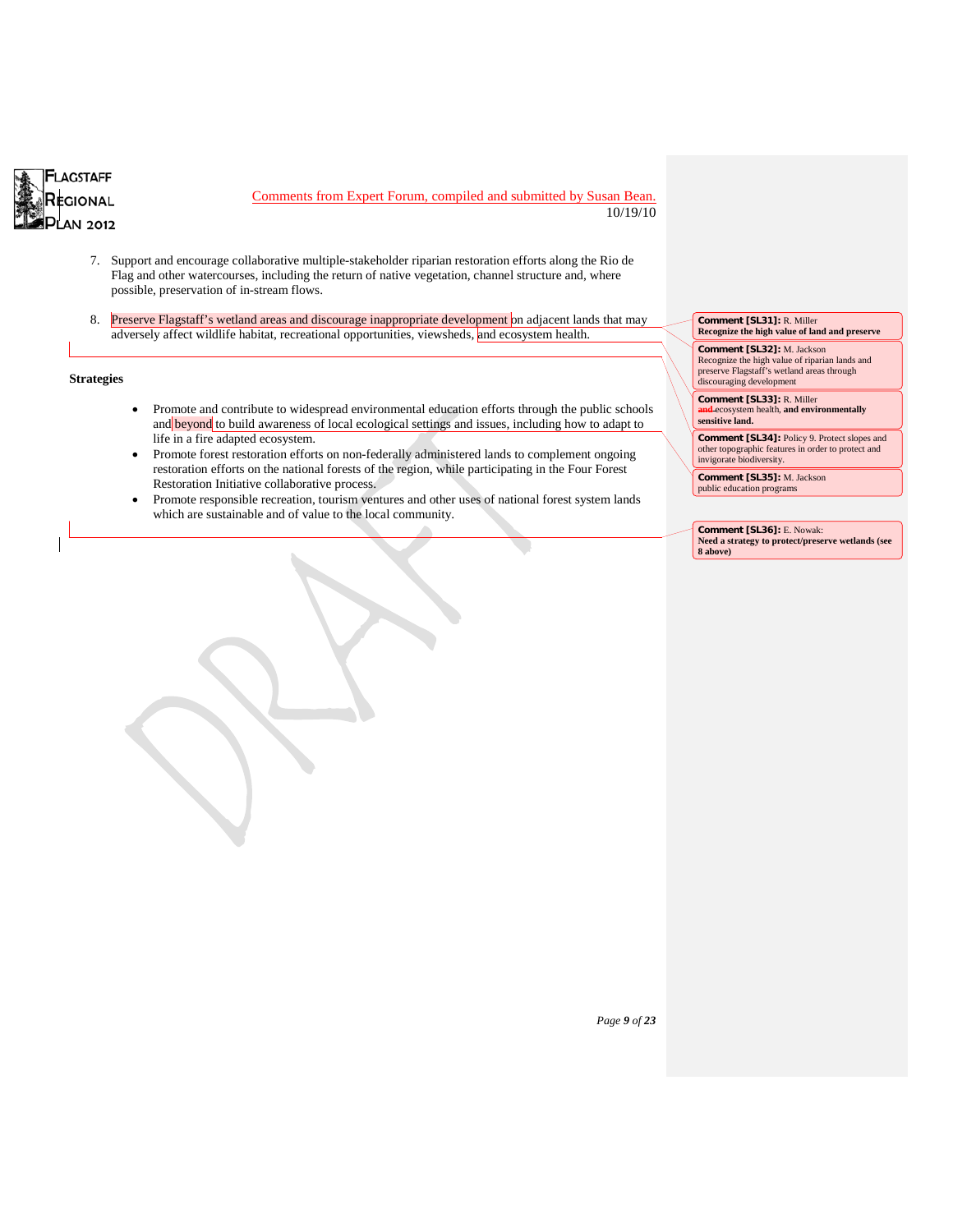

- 7. Support and encourage collaborative multiple-stakeholder riparian restoration efforts along the Rio de Flag and other watercourses, including the return of native vegetation, channel structure and, where possible, preservation of in-stream flows.
- 8. Preserve Flagstaff's wetland areas and discourage inappropriate development on adjacent lands that may adversely affect wildlife habitat, recreational opportunities, viewsheds, and ecosystem health.

**Strategies**

- Promote and contribute to widespread environmental education efforts through the public schools and beyond to build awareness of local ecological settings and issues, including how to adapt to life in a fire adapted ecosystem.
- Promote forest restoration efforts on non-federally administered lands to complement ongoing restoration efforts on the national forests of the region, while participating in the Four Forest Restoration Initiative collaborative process.
- Promote responsible recreation, tourism ventures and other uses of national forest system lands which are sustainable and of value to the local community.

**Comment [SL31]:** R. Miller **Recognize the high value of land and preserve**

**Comment [SL32]:** M. Jackson Recognize the high value of riparian lands and preserve Flagstaff's wetland areas through discouraging development

**Comment [SL33]:** R. Miller **and** ecosystem health, **and environmentally sensitive land.**

**Comment [SL34]:** Policy 9. Protect slopes and other topographic features in order to protect and invigorate biodiversity.

**Comment [SL35]:** M. Jackson public education programs

**Comment [SL36]:** E. Nowak: **Need a strategy to protect/preserve wetlands (see 8 above)**

*Page 9 of 23*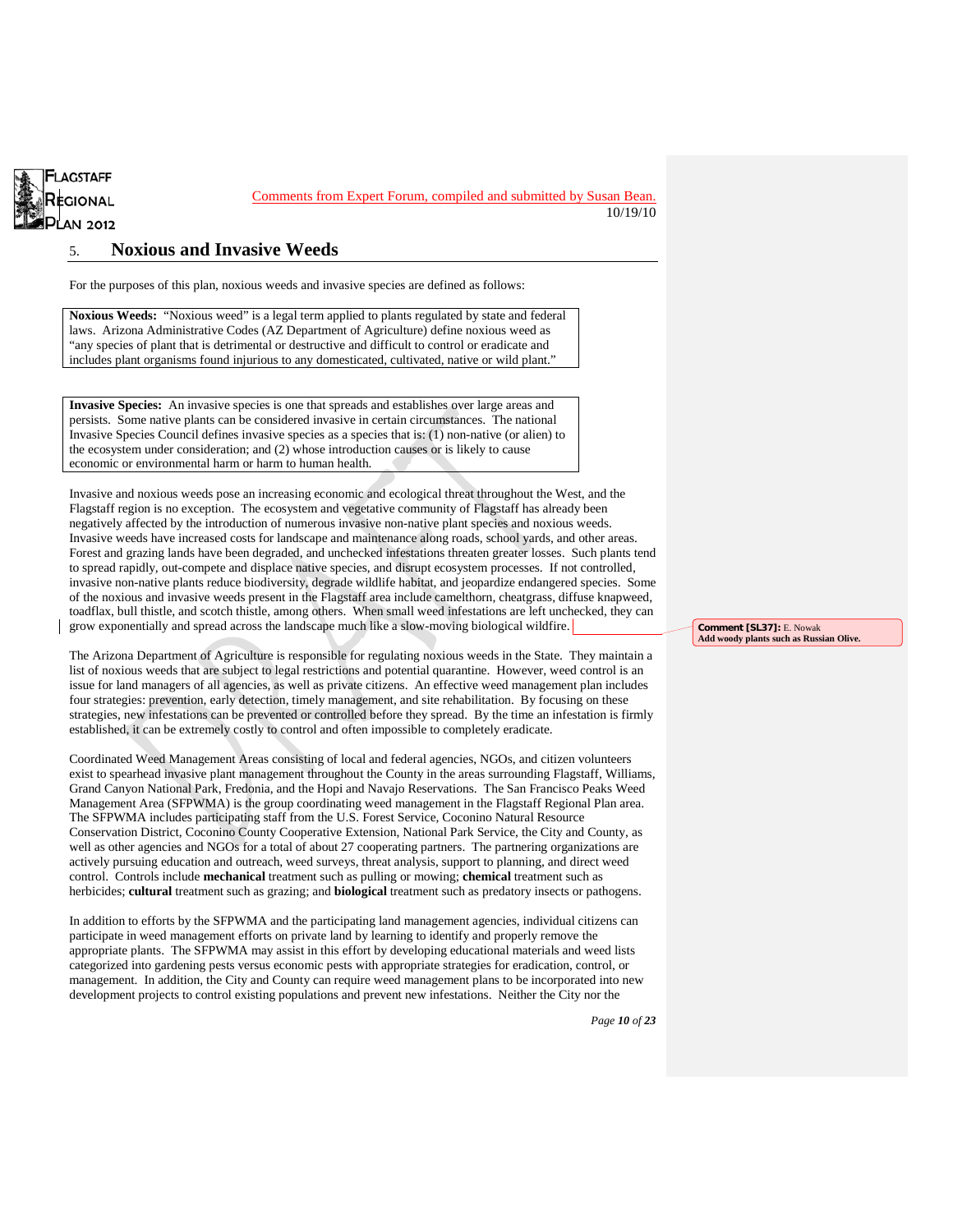

### 5. **Noxious and Invasive Weeds**

For the purposes of this plan, noxious weeds and invasive species are defined as follows:

**Noxious Weeds:** "Noxious weed" is a legal term applied to plants regulated by state and federal laws. Arizona Administrative Codes (AZ Department of Agriculture) define noxious weed as "any species of plant that is detrimental or destructive and difficult to control or eradicate and includes plant organisms found injurious to any domesticated, cultivated, native or wild plant."

**Invasive Species:** An invasive species is one that spreads and establishes over large areas and persists. Some native plants can be considered invasive in certain circumstances. The national Invasive Species Council defines invasive species as a species that is: (1) non-native (or alien) to the ecosystem under consideration; and (2) whose introduction causes or is likely to cause economic or environmental harm or harm to human health.

Invasive and noxious weeds pose an increasing economic and ecological threat throughout the West, and the Flagstaff region is no exception. The ecosystem and vegetative community of Flagstaff has already been negatively affected by the introduction of numerous invasive non-native plant species and noxious weeds. Invasive weeds have increased costs for landscape and maintenance along roads, school yards, and other areas. Forest and grazing lands have been degraded, and unchecked infestations threaten greater losses. Such plants tend to spread rapidly, out-compete and displace native species, and disrupt ecosystem processes. If not controlled, invasive non-native plants reduce biodiversity, degrade wildlife habitat, and jeopardize endangered species. Some of the noxious and invasive weeds present in the Flagstaff area include camelthorn, cheatgrass, diffuse knapweed, toadflax, bull thistle, and scotch thistle, among others. When small weed infestations are left unchecked, they can grow exponentially and spread across the landscape much like a slow-moving biological wildfire.

The Arizona Department of Agriculture is responsible for regulating noxious weeds in the State. They maintain a list of noxious weeds that are subject to legal restrictions and potential quarantine. However, weed control is an issue for land managers of all agencies, as well as private citizens. An effective weed management plan includes four strategies: prevention, early detection, timely management, and site rehabilitation. By focusing on these strategies, new infestations can be prevented or controlled before they spread. By the time an infestation is firmly established, it can be extremely costly to control and often impossible to completely eradicate.

Coordinated Weed Management Areas consisting of local and federal agencies, NGOs, and citizen volunteers exist to spearhead invasive plant management throughout the County in the areas surrounding Flagstaff, Williams, Grand Canyon National Park, Fredonia, and the Hopi and Navajo Reservations. The San Francisco Peaks Weed Management Area (SFPWMA) is the group coordinating weed management in the Flagstaff Regional Plan area. The SFPWMA includes participating staff from the U.S. Forest Service, Coconino Natural Resource Conservation District, Coconino County Cooperative Extension, National Park Service, the City and County, as well as other agencies and NGOs for a total of about 27 cooperating partners. The partnering organizations are actively pursuing education and outreach, weed surveys, threat analysis, support to planning, and direct weed control. Controls include **mechanical** treatment such as pulling or mowing; **chemical** treatment such as herbicides; **cultural** treatment such as grazing; and **biological** treatment such as predatory insects or pathogens.

In addition to efforts by the SFPWMA and the participating land management agencies, individual citizens can participate in weed management efforts on private land by learning to identify and properly remove the appropriate plants. The SFPWMA may assist in this effort by developing educational materials and weed lists categorized into gardening pests versus economic pests with appropriate strategies for eradication, control, or management. In addition, the City and County can require weed management plans to be incorporated into new development projects to control existing populations and prevent new infestations. Neither the City nor the

**Comment [SL37]:** E. Nowak **Add woody plants such as Russian Olive.**

*Page 10 of 23*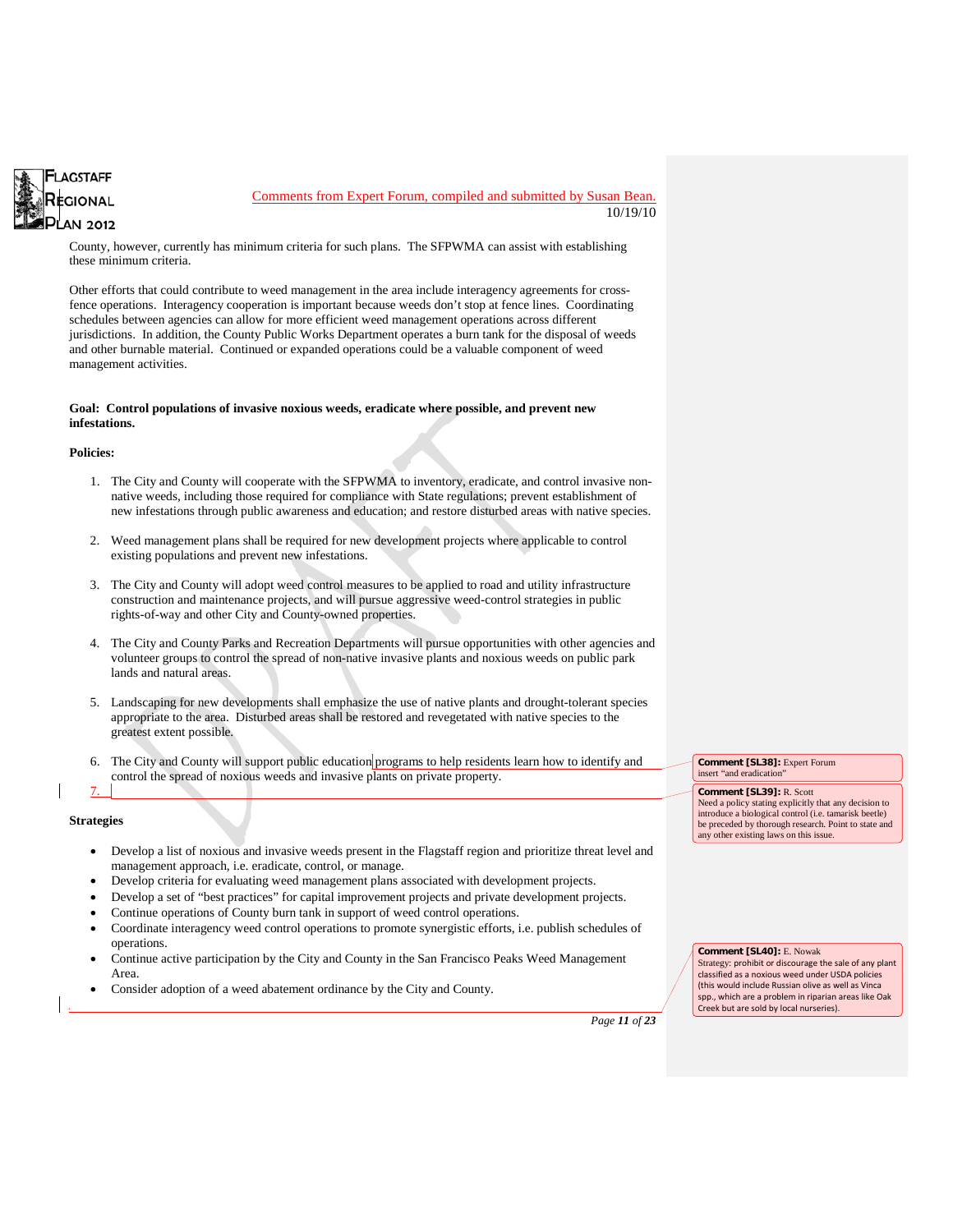

County, however, currently has minimum criteria for such plans. The SFPWMA can assist with establishing these minimum criteria.

Other efforts that could contribute to weed management in the area include interagency agreements for crossfence operations. Interagency cooperation is important because weeds don't stop at fence lines. Coordinating schedules between agencies can allow for more efficient weed management operations across different jurisdictions. In addition, the County Public Works Department operates a burn tank for the disposal of weeds and other burnable material. Continued or expanded operations could be a valuable component of weed management activities.

### **Goal: Control populations of invasive noxious weeds, eradicate where possible, and prevent new infestations.**

### **Policies:**

- 1. The City and County will cooperate with the SFPWMA to inventory, eradicate, and control invasive nonnative weeds, including those required for compliance with State regulations; prevent establishment of new infestations through public awareness and education; and restore disturbed areas with native species.
- 2. Weed management plans shall be required for new development projects where applicable to control existing populations and prevent new infestations.
- 3. The City and County will adopt weed control measures to be applied to road and utility infrastructure construction and maintenance projects, and will pursue aggressive weed-control strategies in public rights-of-way and other City and County-owned properties.
- 4. The City and County Parks and Recreation Departments will pursue opportunities with other agencies and volunteer groups to control the spread of non-native invasive plants and noxious weeds on public park lands and natural areas.
- 5. Landscaping for new developments shall emphasize the use of native plants and drought-tolerant species appropriate to the area. Disturbed areas shall be restored and revegetated with native species to the greatest extent possible.
- 6. The City and County will support public education programs to help residents learn how to identify and control the spread of noxious weeds and invasive plants on private property.

# 7. **Strategies**

- Develop a list of noxious and invasive weeds present in the Flagstaff region and prioritize threat level and management approach, i.e. eradicate, control, or manage.
- Develop criteria for evaluating weed management plans associated with development projects.
- Develop a set of "best practices" for capital improvement projects and private development projects.
- Continue operations of County burn tank in support of weed control operations.
- Coordinate interagency weed control operations to promote synergistic efforts, i.e. publish schedules of operations.
- Continue active participation by the City and County in the San Francisco Peaks Weed Management Area.
- Consider adoption of a weed abatement ordinance by the City and County.

**Comment [SL38]:** Expert Forum insert "and eradication"

**Comment [SL39]:** R. Scott Need a policy stating explicitly that any decision to introduce a biological control (i.e. tamarisk beetle) be preceded by thorough research. Point to state and any other existing laws on this issue.

**Comment [SL40]:** E. Nowak Strategy: prohibit or discourage the sale of any plant classified as a noxious weed under USDA policies (this would include Russian olive as well as Vinca spp., which are a problem in riparian areas like Oak Creek but are sold by local nurseries).

*Page 11 of 23*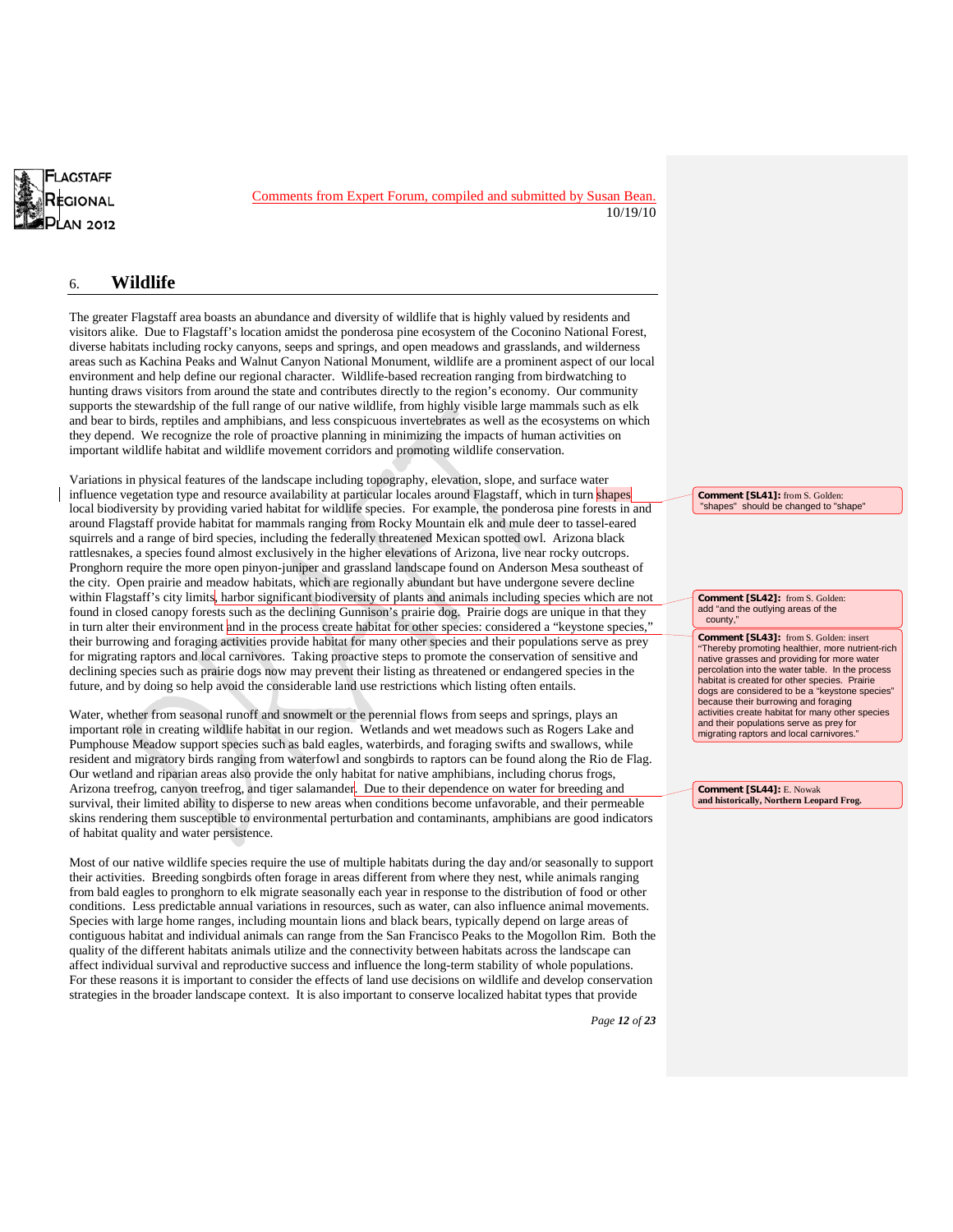

### 6. **Wildlife**

The greater Flagstaff area boasts an abundance and diversity of wildlife that is highly valued by residents and visitors alike. Due to Flagstaff's location amidst the ponderosa pine ecosystem of the Coconino National Forest, diverse habitats including rocky canyons, seeps and springs, and open meadows and grasslands, and wilderness areas such as Kachina Peaks and Walnut Canyon National Monument, wildlife are a prominent aspect of our local environment and help define our regional character. Wildlife-based recreation ranging from birdwatching to hunting draws visitors from around the state and contributes directly to the region's economy. Our community supports the stewardship of the full range of our native wildlife, from highly visible large mammals such as elk and bear to birds, reptiles and amphibians, and less conspicuous invertebrates as well as the ecosystems on which they depend. We recognize the role of proactive planning in minimizing the impacts of human activities on important wildlife habitat and wildlife movement corridors and promoting wildlife conservation.

Variations in physical features of the landscape including topography, elevation, slope, and surface water influence vegetation type and resource availability at particular locales around Flagstaff, which in turn shapes local biodiversity by providing varied habitat for wildlife species. For example, the ponderosa pine forests in and around Flagstaff provide habitat for mammals ranging from Rocky Mountain elk and mule deer to tassel-eared squirrels and a range of bird species, including the federally threatened Mexican spotted owl. Arizona black rattlesnakes, a species found almost exclusively in the higher elevations of Arizona, live near rocky outcrops. Pronghorn require the more open pinyon-juniper and grassland landscape found on Anderson Mesa southeast of the city. Open prairie and meadow habitats, which are regionally abundant but have undergone severe decline within Flagstaff's city limits, harbor significant biodiversity of plants and animals including species which are not found in closed canopy forests such as the declining Gunnison's prairie dog. Prairie dogs are unique in that they in turn alter their environment and in the process create habitat for other species: considered a "keystone species," their burrowing and foraging activities provide habitat for many other species and their populations serve as prey for migrating raptors and local carnivores. Taking proactive steps to promote the conservation of sensitive and declining species such as prairie dogs now may prevent their listing as threatened or endangered species in the future, and by doing so help avoid the considerable land use restrictions which listing often entails.

Water, whether from seasonal runoff and snowmelt or the perennial flows from seeps and springs, plays an important role in creating wildlife habitat in our region. Wetlands and wet meadows such as Rogers Lake and Pumphouse Meadow support species such as bald eagles, waterbirds, and foraging swifts and swallows, while resident and migratory birds ranging from waterfowl and songbirds to raptors can be found along the Rio de Flag. Our wetland and riparian areas also provide the only habitat for native amphibians, including chorus frogs, Arizona treefrog, canyon treefrog, and tiger salamander. Due to their dependence on water for breeding and survival, their limited ability to disperse to new areas when conditions become unfavorable, and their permeable skins rendering them susceptible to environmental perturbation and contaminants, amphibians are good indicators of habitat quality and water persistence.

Most of our native wildlife species require the use of multiple habitats during the day and/or seasonally to support their activities. Breeding songbirds often forage in areas different from where they nest, while animals ranging from bald eagles to pronghorn to elk migrate seasonally each year in response to the distribution of food or other conditions. Less predictable annual variations in resources, such as water, can also influence animal movements. Species with large home ranges, including mountain lions and black bears, typically depend on large areas of contiguous habitat and individual animals can range from the San Francisco Peaks to the Mogollon Rim. Both the quality of the different habitats animals utilize and the connectivity between habitats across the landscape can affect individual survival and reproductive success and influence the long-term stability of whole populations. For these reasons it is important to consider the effects of land use decisions on wildlife and develop conservation strategies in the broader landscape context. It is also important to conserve localized habitat types that provide

**Comment [SL41]:** from S. Golden: "shapes" should be changed to "shape

**Comment [SL42]:** from S. Golden: add "and the outlying areas of the county,"

**Comment [SL43]:** from S. Golden: insert "Thereby promoting healthier, more nutrient-rich native grasses and providing for more water percolation into the water table. In the process habitat is created for other species. Prairie dogs are considered to be a "keystone species" because their burrowing and foraging activities create habitat for many other species and their populations serve as prey for migrating raptors and local carnivores."

**Comment [SL44]:** E. Nowak **and historically, Northern Leopard Frog.**

*Page 12 of 23*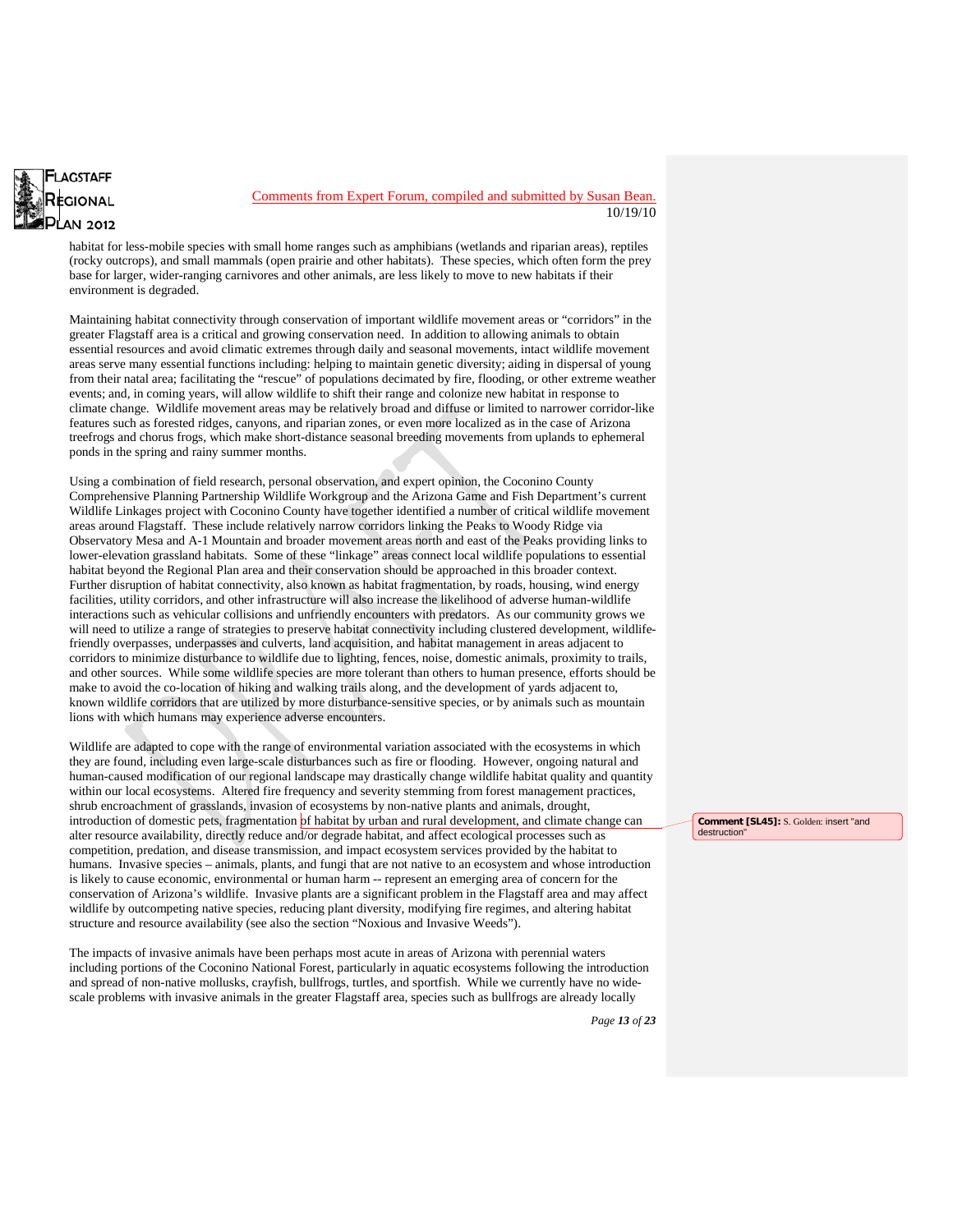

habitat for less-mobile species with small home ranges such as amphibians (wetlands and riparian areas), reptiles (rocky outcrops), and small mammals (open prairie and other habitats). These species, which often form the prey base for larger, wider-ranging carnivores and other animals, are less likely to move to new habitats if their environment is degraded.

Maintaining habitat connectivity through conservation of important wildlife movement areas or "corridors" in the greater Flagstaff area is a critical and growing conservation need. In addition to allowing animals to obtain essential resources and avoid climatic extremes through daily and seasonal movements, intact wildlife movement areas serve many essential functions including: helping to maintain genetic diversity; aiding in dispersal of young from their natal area; facilitating the "rescue" of populations decimated by fire, flooding, or other extreme weather events; and, in coming years, will allow wildlife to shift their range and colonize new habitat in response to climate change. Wildlife movement areas may be relatively broad and diffuse or limited to narrower corridor-like features such as forested ridges, canyons, and riparian zones, or even more localized as in the case of Arizona treefrogs and chorus frogs, which make short-distance seasonal breeding movements from uplands to ephemeral ponds in the spring and rainy summer months.

Using a combination of field research, personal observation, and expert opinion, the Coconino County Comprehensive Planning Partnership Wildlife Workgroup and the Arizona Game and Fish Department's current Wildlife Linkages project with Coconino County have together identified a number of critical wildlife movement areas around Flagstaff. These include relatively narrow corridors linking the Peaks to Woody Ridge via Observatory Mesa and A-1 Mountain and broader movement areas north and east of the Peaks providing links to lower-elevation grassland habitats. Some of these "linkage" areas connect local wildlife populations to essential habitat beyond the Regional Plan area and their conservation should be approached in this broader context. Further disruption of habitat connectivity, also known as habitat fragmentation, by roads, housing, wind energy facilities, utility corridors, and other infrastructure will also increase the likelihood of adverse human-wildlife interactions such as vehicular collisions and unfriendly encounters with predators. As our community grows we will need to utilize a range of strategies to preserve habitat connectivity including clustered development, wildlifefriendly overpasses, underpasses and culverts, land acquisition, and habitat management in areas adjacent to corridors to minimize disturbance to wildlife due to lighting, fences, noise, domestic animals, proximity to trails, and other sources. While some wildlife species are more tolerant than others to human presence, efforts should be make to avoid the co-location of hiking and walking trails along, and the development of yards adjacent to, known wildlife corridors that are utilized by more disturbance-sensitive species, or by animals such as mountain lions with which humans may experience adverse encounters.

Wildlife are adapted to cope with the range of environmental variation associated with the ecosystems in which they are found, including even large-scale disturbances such as fire or flooding. However, ongoing natural and human-caused modification of our regional landscape may drastically change wildlife habitat quality and quantity within our local ecosystems. Altered fire frequency and severity stemming from forest management practices, shrub encroachment of grasslands, invasion of ecosystems by non-native plants and animals, drought, introduction of domestic pets, fragmentation of habitat by urban and rural development, and climate change can alter resource availability, directly reduce and/or degrade habitat, and affect ecological processes such as competition, predation, and disease transmission, and impact ecosystem services provided by the habitat to humans. Invasive species – animals, plants, and fungi that are not native to an ecosystem and whose introduction is likely to cause economic, environmental or human harm -- represent an emerging area of concern for the conservation of Arizona's wildlife. Invasive plants are a significant problem in the Flagstaff area and may affect wildlife by outcompeting native species, reducing plant diversity, modifying fire regimes, and altering habitat structure and resource availability (see also the section "Noxious and Invasive Weeds").

The impacts of invasive animals have been perhaps most acute in areas of Arizona with perennial waters including portions of the Coconino National Forest, particularly in aquatic ecosystems following the introduction and spread of non-native mollusks, crayfish, bullfrogs, turtles, and sportfish. While we currently have no widescale problems with invasive animals in the greater Flagstaff area, species such as bullfrogs are already locally

*Page 13 of 23*

**Comment [SL45]:** S. Golden: insert "and destruction"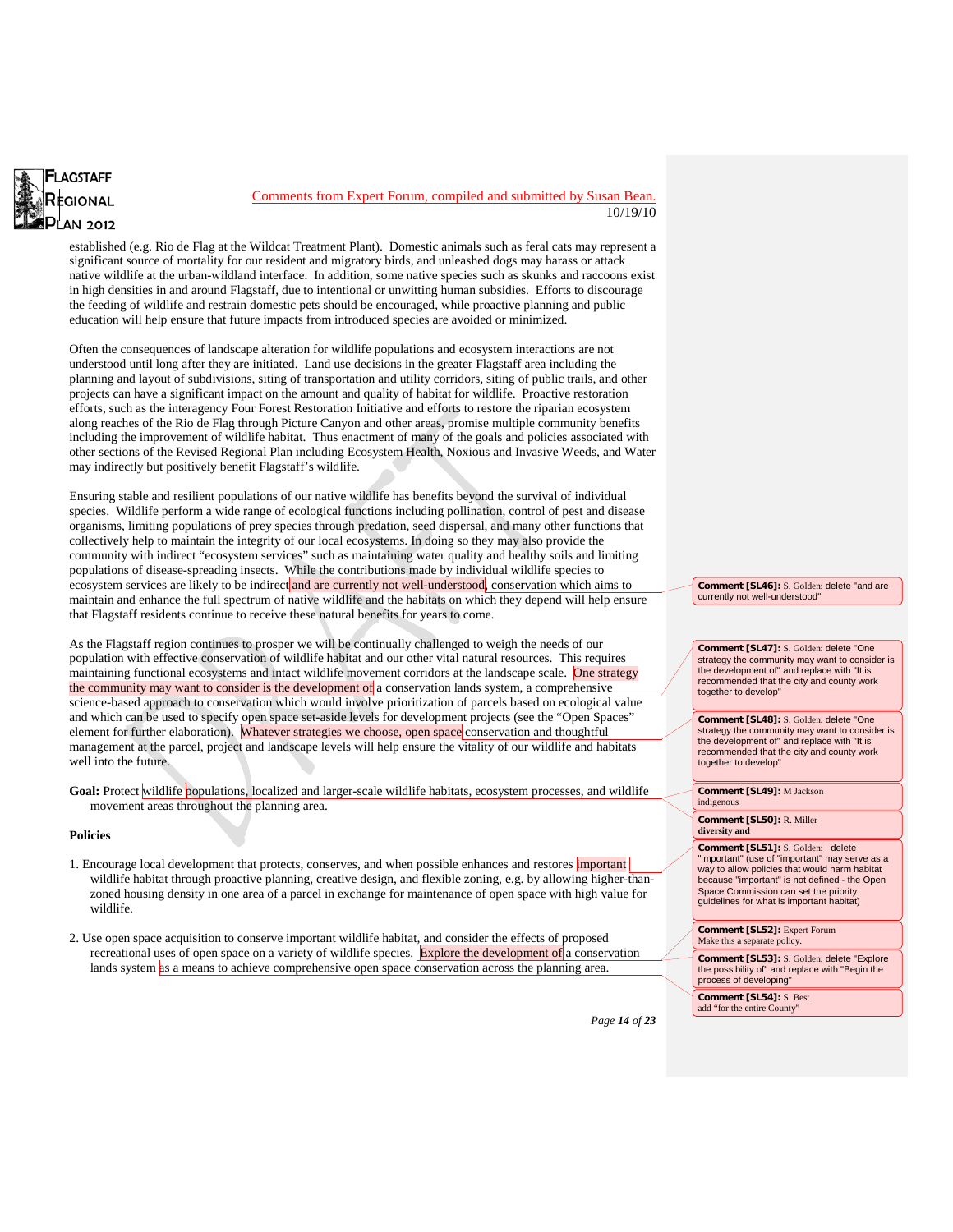

established (e.g. Rio de Flag at the Wildcat Treatment Plant). Domestic animals such as feral cats may represent a significant source of mortality for our resident and migratory birds, and unleashed dogs may harass or attack native wildlife at the urban-wildland interface. In addition, some native species such as skunks and raccoons exist in high densities in and around Flagstaff, due to intentional or unwitting human subsidies. Efforts to discourage the feeding of wildlife and restrain domestic pets should be encouraged, while proactive planning and public education will help ensure that future impacts from introduced species are avoided or minimized.

Often the consequences of landscape alteration for wildlife populations and ecosystem interactions are not understood until long after they are initiated. Land use decisions in the greater Flagstaff area including the planning and layout of subdivisions, siting of transportation and utility corridors, siting of public trails, and other projects can have a significant impact on the amount and quality of habitat for wildlife. Proactive restoration efforts, such as the interagency Four Forest Restoration Initiative and efforts to restore the riparian ecosystem along reaches of the Rio de Flag through Picture Canyon and other areas, promise multiple community benefits including the improvement of wildlife habitat. Thus enactment of many of the goals and policies associated with other sections of the Revised Regional Plan including Ecosystem Health, Noxious and Invasive Weeds, and Water may indirectly but positively benefit Flagstaff's wildlife.

Ensuring stable and resilient populations of our native wildlife has benefits beyond the survival of individual species. Wildlife perform a wide range of ecological functions including pollination, control of pest and disease organisms, limiting populations of prey species through predation, seed dispersal, and many other functions that collectively help to maintain the integrity of our local ecosystems. In doing so they may also provide the community with indirect "ecosystem services" such as maintaining water quality and healthy soils and limiting populations of disease-spreading insects. While the contributions made by individual wildlife species to ecosystem services are likely to be indirect and are currently not well-understood, conservation which aims to maintain and enhance the full spectrum of native wildlife and the habitats on which they depend will help ensure that Flagstaff residents continue to receive these natural benefits for years to come.

As the Flagstaff region continues to prosper we will be continually challenged to weigh the needs of our population with effective conservation of wildlife habitat and our other vital natural resources. This requires maintaining functional ecosystems and intact wildlife movement corridors at the landscape scale. One strategy the community may want to consider is the development of a conservation lands system, a comprehensive science-based approach to conservation which would involve prioritization of parcels based on ecological value and which can be used to specify open space set-aside levels for development projects (see the "Open Spaces" element for further elaboration). Whatever strategies we choose, open space conservation and thoughtful management at the parcel, project and landscape levels will help ensure the vitality of our wildlife and habitats well into the future.

Goal: Protect wildlife populations, localized and larger-scale wildlife habitats, ecosystem processes, and wildlife movement areas throughout the planning area.

#### **Policies**

- 1. Encourage local development that protects, conserves, and when possible enhances and restores *important* wildlife habitat through proactive planning, creative design, and flexible zoning, e.g. by allowing higher-thanzoned housing density in one area of a parcel in exchange for maintenance of open space with high value for wildlife.
- 2. Use open space acquisition to conserve important wildlife habitat, and consider the effects of proposed recreational uses of open space on a variety of wildlife species. **Explore the development of** a conservation lands system as a means to achieve comprehensive open space conservation across the planning area.

**Comment [SL46]:** S. Golden: delete "and are currently not well-understood"

**Comment [SL47]:** S. Golden: delete "One strategy the community may want to consider is the development of" and replace with "It is recommended that the city and county work together to develop"

**Comment [SL48]:** S. Golden: delete "One strategy the community may want to consider is the development of" and replace with "It is recommended that the city and county work together to develop"

**Comment [SL49]:** M Jackson indigenous **Comment [SL50]:** R. Miller

**diversity and**

**Comment [SL51]:** S. Golden: delete "important" (use of "important" may serve as a way to allow policies that would harm habitat because "important" is not defined - the Open Space Commission can set the priority guidelines for what is important habitat)

**Comment [SL52]:** Expert Forum Make this a separate policy.

**Comment [SL53]:** S. Golden: delete "Explore the possibility of" and replace with "Begin the process of developing"

**Comment [SL54]:** S. Best add "for the entire County"

*Page 14 of 23*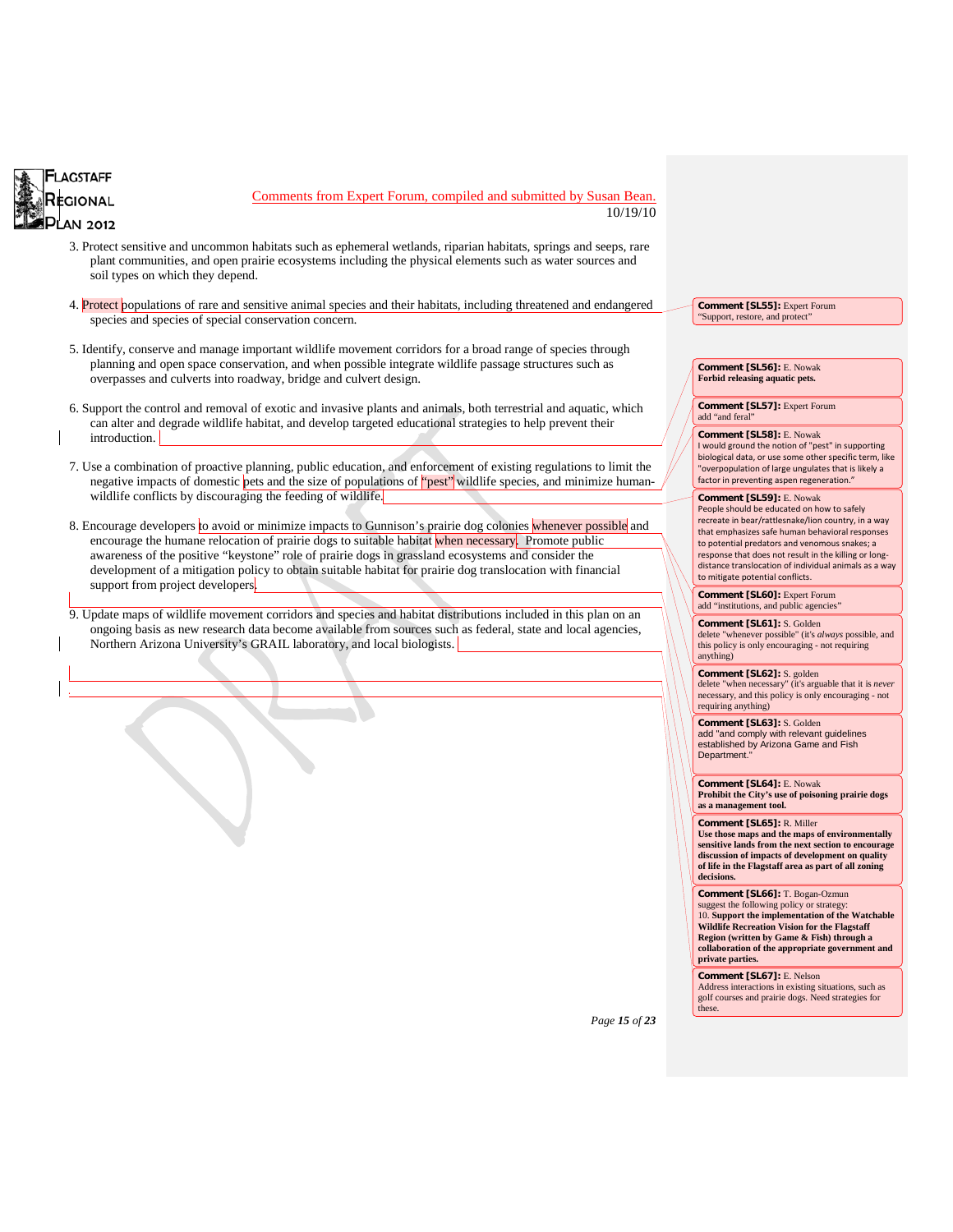

- 3. Protect sensitive and uncommon habitats such as ephemeral wetlands, riparian habitats, springs and seeps, rare plant communities, and open prairie ecosystems including the physical elements such as water sources and soil types on which they depend.
- 4. Protect populations of rare and sensitive animal species and their habitats, including threatened and endangered species and species of special conservation concern.
- 5. Identify, conserve and manage important wildlife movement corridors for a broad range of species through planning and open space conservation, and when possible integrate wildlife passage structures such as overpasses and culverts into roadway, bridge and culvert design.
- 6. Support the control and removal of exotic and invasive plants and animals, both terrestrial and aquatic, which can alter and degrade wildlife habitat, and develop targeted educational strategies to help prevent their introduction.
- 7. Use a combination of proactive planning, public education, and enforcement of existing regulations to limit the negative impacts of domestic pets and the size of populations of "pest" wildlife species, and minimize humanwildlife conflicts by discouraging the feeding of wildlife.
- 8. Encourage developers to avoid or minimize impacts to Gunnison's prairie dog colonies whenever possible and encourage the humane relocation of prairie dogs to suitable habitat when necessary. Promote public awareness of the positive "keystone" role of prairie dogs in grassland ecosystems and consider the development of a mitigation policy to obtain suitable habitat for prairie dog translocation with financial support from project developers.
- 9. Update maps of wildlife movement corridors and species and habitat distributions included in this plan on an ongoing basis as new research data become available from sources such as federal, state and local agencies, Northern Arizona University's GRAIL laboratory, and local biologists.

**Comment [SL55]:** Expert Forum "Support, restore, and protect"

**Comment [SL56]:** E. Nowak **Forbid releasing aquatic pets.**

**Comment [SL57]:** Expert Forum add "and feral"

**Comment [SL58]:** E. Nowak I would ground the notion of "pest" in supporting biological data, or use some other specific term, like

"overpopulation of large ungulates that is likely a factor in preventing aspen regeneration."

### **Comment [SL59]:** E. Nowak

People should be educated on how to safely recreate in bear/rattlesnake/lion country, in a way that emphasizes safe human behavioral responses to potential predators and venomous snakes; a response that does not result in the killing or longdistance translocation of individual animals as a way to mitigate potential conflicts.

**Comment [SL60]:** Expert Forum add "institutions, and public agencies"

**Comment [SL61]:** S. Golden delete "whenever possible" (it's *always* possible, and this policy is only encouraging - not requiring anything)

**Comment [SL62]:** S. golden delete "when necessary" (it's arguable that it is *never*  necessary, and this policy is only encouraging - not requiring anything)

**Comment [SL63]:** S. Golden add "and comply with relevant guidelines established by Arizona Game and Fish Department.

### **Comment [SL64]:** E. Nowak

**Prohibit the City's use of poisoning prairie dogs as a management tool.**

### **Comment [SL65]:** R. Miller

**Use those maps and the maps of environmentally sensitive lands from the next section to encourage discussion of impacts of development on quality of life in the Flagstaff area as part of all zoning decisions.**

**Comment [SL66]:** T. Bogan-Ozmun

suggest the following policy or strategy: 10. **Support the implementation of the Watchable Wildlife Recreation Vision for the Flagstaff Region (written by Game & Fish) through a collaboration of the appropriate government and private parties.**

**Comment [SL67]:** E. Nelson Address interactions in existing situations, such as golf courses and prairie dogs. Need strategies for these.

*Page 15 of 23*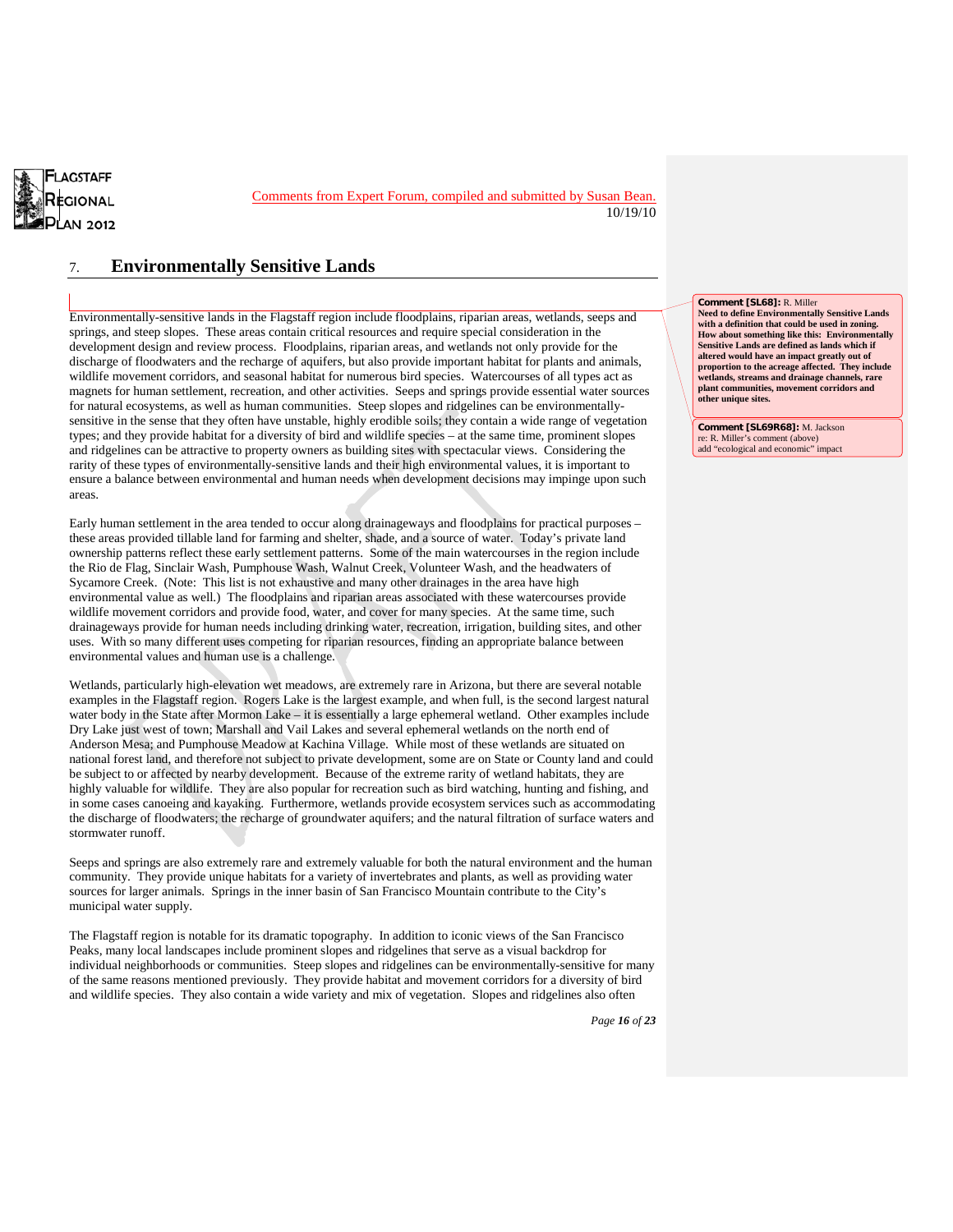

### 7. **Environmentally Sensitive Lands**

Environmentally-sensitive lands in the Flagstaff region include floodplains, riparian areas, wetlands, seeps and springs, and steep slopes. These areas contain critical resources and require special consideration in the development design and review process. Floodplains, riparian areas, and wetlands not only provide for the discharge of floodwaters and the recharge of aquifers, but also provide important habitat for plants and animals, wildlife movement corridors, and seasonal habitat for numerous bird species. Watercourses of all types act as magnets for human settlement, recreation, and other activities. Seeps and springs provide essential water sources for natural ecosystems, as well as human communities. Steep slopes and ridgelines can be environmentallysensitive in the sense that they often have unstable, highly erodible soils; they contain a wide range of vegetation types; and they provide habitat for a diversity of bird and wildlife species – at the same time, prominent slopes and ridgelines can be attractive to property owners as building sites with spectacular views. Considering the rarity of these types of environmentally-sensitive lands and their high environmental values, it is important to ensure a balance between environmental and human needs when development decisions may impinge upon such areas.

Early human settlement in the area tended to occur along drainageways and floodplains for practical purposes – these areas provided tillable land for farming and shelter, shade, and a source of water. Today's private land ownership patterns reflect these early settlement patterns. Some of the main watercourses in the region include the Rio de Flag, Sinclair Wash, Pumphouse Wash, Walnut Creek, Volunteer Wash, and the headwaters of Sycamore Creek. (Note: This list is not exhaustive and many other drainages in the area have high environmental value as well.) The floodplains and riparian areas associated with these watercourses provide wildlife movement corridors and provide food, water, and cover for many species. At the same time, such drainageways provide for human needs including drinking water, recreation, irrigation, building sites, and other uses. With so many different uses competing for riparian resources, finding an appropriate balance between environmental values and human use is a challenge.

Wetlands, particularly high-elevation wet meadows, are extremely rare in Arizona, but there are several notable examples in the Flagstaff region. Rogers Lake is the largest example, and when full, is the second largest natural water body in the State after Mormon Lake – it is essentially a large ephemeral wetland. Other examples include Dry Lake just west of town; Marshall and Vail Lakes and several ephemeral wetlands on the north end of Anderson Mesa; and Pumphouse Meadow at Kachina Village. While most of these wetlands are situated on national forest land, and therefore not subject to private development, some are on State or County land and could be subject to or affected by nearby development. Because of the extreme rarity of wetland habitats, they are highly valuable for wildlife. They are also popular for recreation such as bird watching, hunting and fishing, and in some cases canoeing and kayaking. Furthermore, wetlands provide ecosystem services such as accommodating the discharge of floodwaters; the recharge of groundwater aquifers; and the natural filtration of surface waters and stormwater runoff.

Seeps and springs are also extremely rare and extremely valuable for both the natural environment and the human community. They provide unique habitats for a variety of invertebrates and plants, as well as providing water sources for larger animals. Springs in the inner basin of San Francisco Mountain contribute to the City's municipal water supply.

The Flagstaff region is notable for its dramatic topography. In addition to iconic views of the San Francisco Peaks, many local landscapes include prominent slopes and ridgelines that serve as a visual backdrop for individual neighborhoods or communities. Steep slopes and ridgelines can be environmentally-sensitive for many of the same reasons mentioned previously. They provide habitat and movement corridors for a diversity of bird and wildlife species. They also contain a wide variety and mix of vegetation. Slopes and ridgelines also often

### **Comment [SL68]:** R. Miller

**Need to define Environmentally Sensitive Lands with a definition that could be used in zoning. How about something like this: Environmentally Sensitive Lands are defined as lands which if altered would have an impact greatly out of proportion to the acreage affected. They include wetlands, streams and drainage channels, rare plant communities, movement corridors and other unique sites.** 

**Comment [SL69R68]:** M. Jackson re: R. Miller's comment (above) add "ecological and economic" impact

*Page 16 of 23*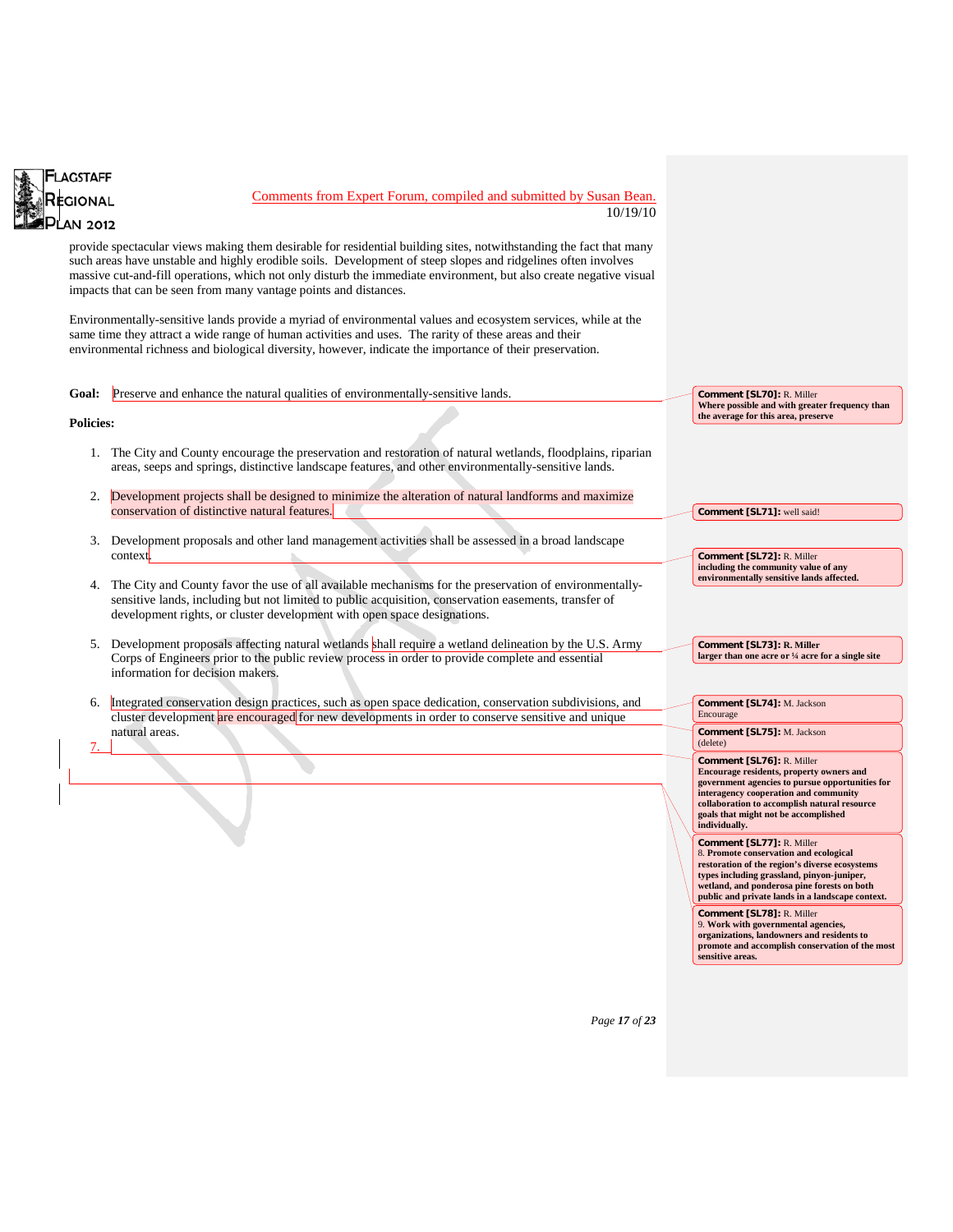

provide spectacular views making them desirable for residential building sites, notwithstanding the fact that many such areas have unstable and highly erodible soils. Development of steep slopes and ridgelines often involves massive cut-and-fill operations, which not only disturb the immediate environment, but also create negative visual impacts that can be seen from many vantage points and distances.

Environmentally-sensitive lands provide a myriad of environmental values and ecosystem services, while at the same time they attract a wide range of human activities and uses. The rarity of these areas and their

|                           | $\sin \theta$ and $\sin \theta$ and $\sin \theta$ and $\sin \theta$ and $\sin \theta$ and $\sin \theta$ and $\sin \theta$ and $\sin \theta$ and $\sin \theta$ and $\sin \theta$<br>environmental richness and biological diversity, however, indicate the importance of their preservation.    |                                                                                                                                                                                                                                                                            |
|---------------------------|------------------------------------------------------------------------------------------------------------------------------------------------------------------------------------------------------------------------------------------------------------------------------------------------|----------------------------------------------------------------------------------------------------------------------------------------------------------------------------------------------------------------------------------------------------------------------------|
| Goal:<br><b>Policies:</b> | Preserve and enhance the natural qualities of environmentally-sensitive lands.                                                                                                                                                                                                                 | Comment [SL70]: R. Miller<br>Where possible and with greater frequency than<br>the average for this area, preserve                                                                                                                                                         |
|                           |                                                                                                                                                                                                                                                                                                |                                                                                                                                                                                                                                                                            |
|                           | 1. The City and County encourage the preservation and restoration of natural wetlands, floodplains, riparian<br>areas, seeps and springs, distinctive landscape features, and other environmentally-sensitive lands.                                                                           |                                                                                                                                                                                                                                                                            |
| 2.                        | Development projects shall be designed to minimize the alteration of natural landforms and maximize                                                                                                                                                                                            |                                                                                                                                                                                                                                                                            |
|                           | conservation of distinctive natural features.                                                                                                                                                                                                                                                  | Comment [SL71]: well said!                                                                                                                                                                                                                                                 |
|                           | 3. Development proposals and other land management activities shall be assessed in a broad landscape<br>context.                                                                                                                                                                               | Comment [SL72]: R. Miller                                                                                                                                                                                                                                                  |
|                           | 4. The City and County favor the use of all available mechanisms for the preservation of environmentally-<br>sensitive lands, including but not limited to public acquisition, conservation easements, transfer of<br>development rights, or cluster development with open space designations. | including the community value of any<br>environmentally sensitive lands affected.                                                                                                                                                                                          |
|                           | 5. Development proposals affecting natural wetlands shall require a wetland delineation by the U.S. Army<br>Corps of Engineers prior to the public review process in order to provide complete and essential<br>information for decision makers.                                               | Comment [SL73]: R. Miller<br>larger than one acre or 1/4 acre for a single site                                                                                                                                                                                            |
| 6.                        | Integrated conservation design practices, such as open space dedication, conservation subdivisions, and<br>cluster development are encouraged for new developments in order to conserve sensitive and unique                                                                                   | Comment [SL74]: M. Jackson<br>Encourage                                                                                                                                                                                                                                    |
|                           | natural areas.                                                                                                                                                                                                                                                                                 | Comment [SL75]: M. Jackson<br>(delete)                                                                                                                                                                                                                                     |
|                           |                                                                                                                                                                                                                                                                                                | Comment [SL76]: R. Miller<br>Encourage residents, property owners and<br>government agencies to pursue opportunities for<br>interagency cooperation and community<br>collaboration to accomplish natural resource<br>goals that might not be accomplished<br>individually. |
|                           |                                                                                                                                                                                                                                                                                                | Comment [SL77]: R. Miller<br>8. Promote conservation and ecological<br>restoration of the region's diverse ecosystems<br>types including grassland, pinyon-juniper,<br>wetland, and ponderosa pine forests on both<br>public and private lands in a landscape context.     |
|                           |                                                                                                                                                                                                                                                                                                | Comment [SL78]: R. Miller<br>9. Work with governmental agencies,<br>organizations, landowners and residents to<br>promote and accomplish conservation of the most<br>sensitive areas.                                                                                      |
|                           |                                                                                                                                                                                                                                                                                                |                                                                                                                                                                                                                                                                            |

*Page 17 of 23*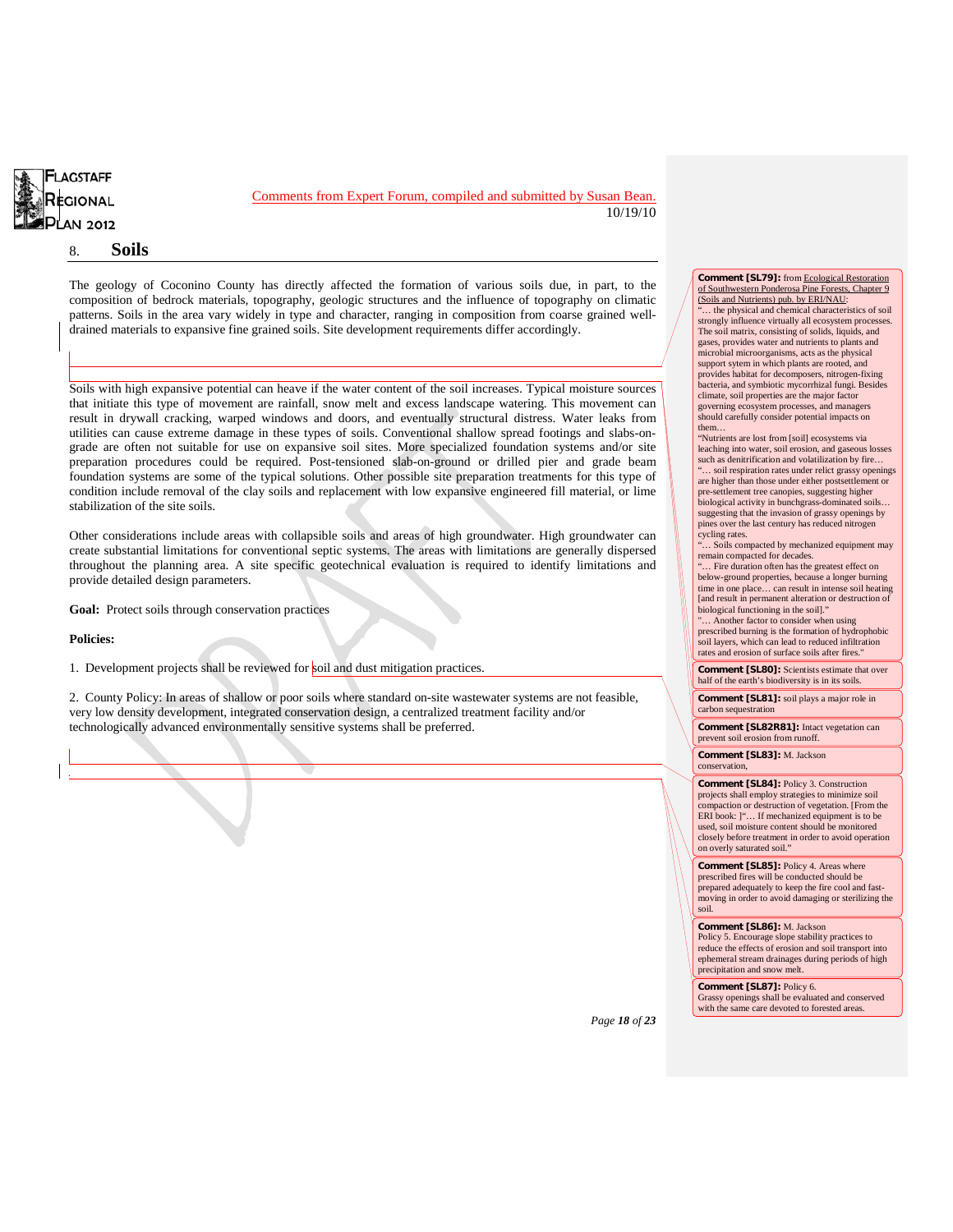

### 8. **Soils**

The geology of Coconino County has directly affected the formation of various soils due, in part, to the composition of bedrock materials, topography, geologic structures and the influence of topography on climatic patterns. Soils in the area vary widely in type and character, ranging in composition from coarse grained welldrained materials to expansive fine grained soils. Site development requirements differ accordingly.

Soils with high expansive potential can heave if the water content of the soil increases. Typical moisture sources that initiate this type of movement are rainfall, snow melt and excess landscape watering. This movement can result in drywall cracking, warped windows and doors, and eventually structural distress. Water leaks from utilities can cause extreme damage in these types of soils. Conventional shallow spread footings and slabs-ongrade are often not suitable for use on expansive soil sites. More specialized foundation systems and/or site preparation procedures could be required. Post-tensioned slab-on-ground or drilled pier and grade beam foundation systems are some of the typical solutions. Other possible site preparation treatments for this type of condition include removal of the clay soils and replacement with low expansive engineered fill material, or lime stabilization of the site soils.

Other considerations include areas with collapsible soils and areas of high groundwater. High groundwater can create substantial limitations for conventional septic systems. The areas with limitations are generally dispersed throughout the planning area. A site specific geotechnical evaluation is required to identify limitations and provide detailed design parameters.

**Goal:** Protect soils through conservation practices

#### **Policies:**

1. Development projects shall be reviewed for soil and dust mitigation practices.

2. County Policy: In areas of shallow or poor soils where standard on-site wastewater systems are not feasible, very low density development, integrated conservation design, a centralized treatment facility and/or technologically advanced environmentally sensitive systems shall be preferred.

#### **Comment [SL79]:** from Ecological Restoration of Southwestern Ponderosa Pine Forests, Chapter 9 (Soils and Nutrients) pub. by ERI/NAU:

... the physical and chemical characteristics of soil strongly influence virtually all ecosystem processes. The soil matrix, consisting of solids, liquids, and gases, provides water and nutrients to plants and microbial microorganisms, acts as the physical support sytem in which plants are rooted, and provides habitat for decomposers, nitrogen-fixing bacteria, and symbiotic mycorrhizal fungi. Besides climate, soil properties are the major factor governing ecosystem processes, and managers should carefully consider potential impacts on them…

"Nutrients are lost from [soil] ecosystems via leaching into water, soil erosion, and gaseous losses such as denitrification and volatilization by fire.. . soil respiration rates under relict grassy openings are higher than those under either postsettlement or pre-settlement tree canopies, suggesting higher biological activity in bunchgrass-dominated soils… suggesting that the invasion of grassy openings by pines over the last century has reduced nitrogen cycling rates.

.. Soils compacted by mechanized equipment may remain compacted for decades.

"… Fire duration often has the greatest effect on below-ground properties, because a longer burning time in one place… can result in intense soil heating [and result in permanent alteration or destruction of biological functioning in the soil]."

.. Another factor to consider when using prescribed burning is the formation of hydrophobic soil layers, which can lead to reduced infiltration rates and erosion of surface soils after fires."

**Comment [SL80]:** Scientists estimate that over half of the earth's biodiversity is in its soils.

**Comment [SL81]:** soil plays a major role in carbon sequestration

**Comment [SL82R81]:** Intact vegetation can prevent soil erosion from runoff.

**Comment [SL83]:** M. Jackson conservation,

**Comment [SL84]:** Policy 3. Construction projects shall employ strategies to minimize soil compaction or destruction of vegetation. [From the ERI book: ]"… If mechanized equipment is to be used, soil moisture content should be monitored closely before treatment in order to avoid operation on overly saturated soil."

**Comment [SL85]:** Policy 4. Areas where prescribed fires will be conducted should be prepared adequately to keep the fire cool and fastmoving in order to avoid damaging or sterilizing the soil.

**Comment [SL86]:** M. Jackson

Policy 5. Encourage slope stability practices to reduce the effects of erosion and soil transport into ephemeral stream drainages during periods of high precipitation and snow melt.

**Comment [SL87]:** Policy 6.

Grassy openings shall be evaluated and conserved with the same care devoted to forested areas.

*Page 18 of 23*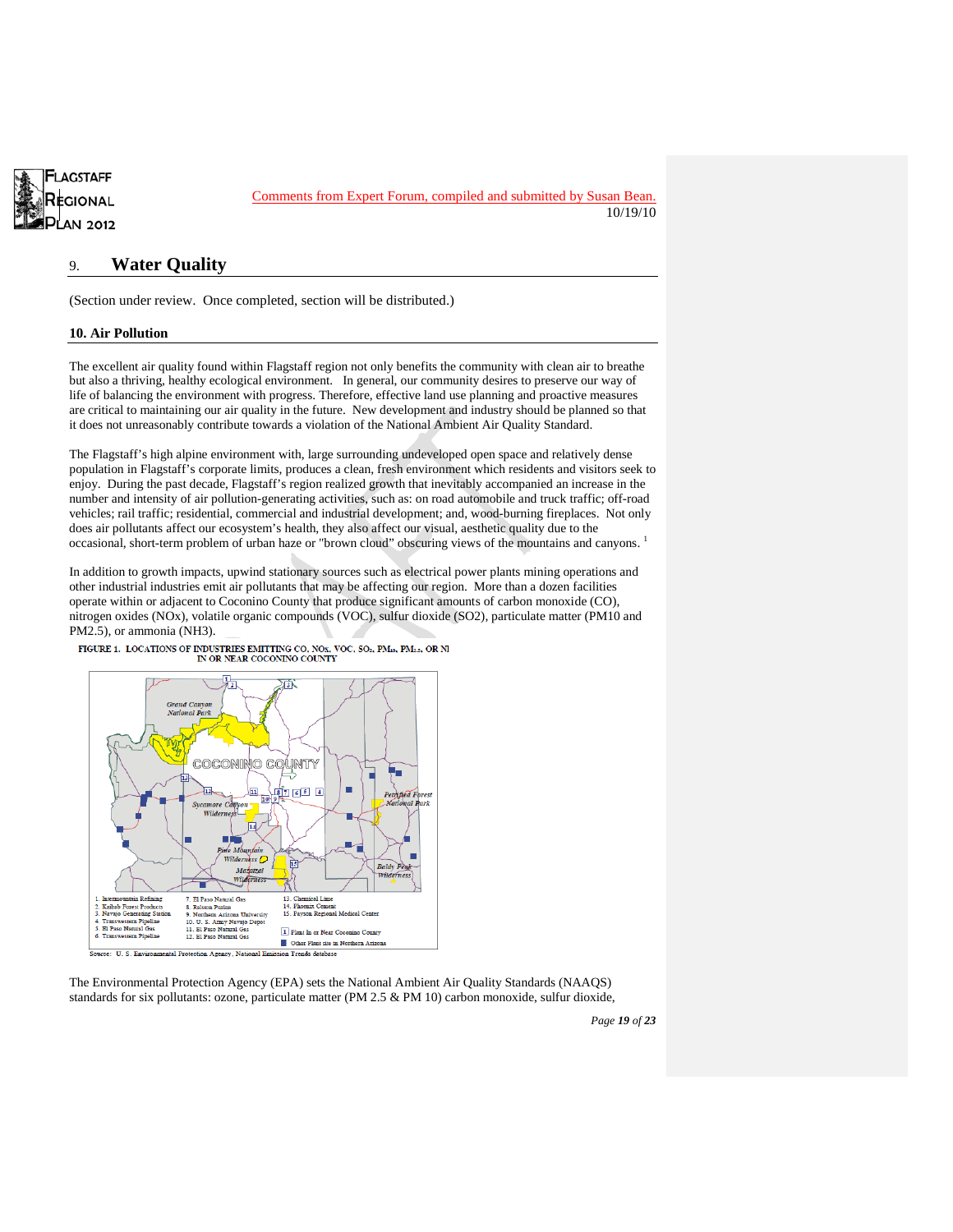

### 9. **Water Quality**

(Section under review. Once completed, section will be distributed.)

### **10. Air Pollution**

The excellent air quality found within Flagstaff region not only benefits the community with clean air to breathe but also a thriving, healthy ecological environment. In general, our community desires to preserve our way of life of balancing the environment with progress. Therefore, effective land use planning and proactive measures are critical to maintaining our air quality in the future. New development and industry should be planned so that it does not unreasonably contribute towards a violation of the National Ambient Air Quality Standard.

The Flagstaff's high alpine environment with, large surrounding undeveloped open space and relatively dense population in Flagstaff's corporate limits, produces a clean, fresh environment which residents and visitors seek to enjoy. During the past decade, Flagstaff's region realized growth that inevitably accompanied an increase in the number and intensity of air pollution-generating activities, such as: on road automobile and truck traffic; off-road vehicles; rail traffic; residential, commercial and industrial development; and, wood-burning fireplaces. Not only does air pollutants affect our ecosystem's health, they also affect our visual, aesthetic quality due to the occasional, short-term problem of urban haze or "brown cloud" obscuring views of the mountains and canyons. <sup>1</sup>

In addition to growth impacts, upwind stationary sources such as electrical power plants mining operations and other industrial industries emit air pollutants that may be affecting our region. More than a dozen facilities operate within or adjacent to Coconino County that produce significant amounts of carbon monoxide (CO), nitrogen oxides (NOx), volatile organic compounds (VOC), sulfur dioxide (SO2), particulate matter (PM10 and PM2.5), or ammonia (NH3).

# FIGURE 1. LOCATIONS OF INDUSTRIES EMITTING CO, NOx, VOC, SO., PM:s, PM:s, OR NIN OR NEAR COCONINO COUNTY



The Environmental Protection Agency (EPA) sets the National Ambient Air Quality Standards (NAAQS) standards for six pollutants: ozone, particulate matter (PM 2.5 & PM 10) carbon monoxide, sulfur dioxide,

*Page 19 of 23*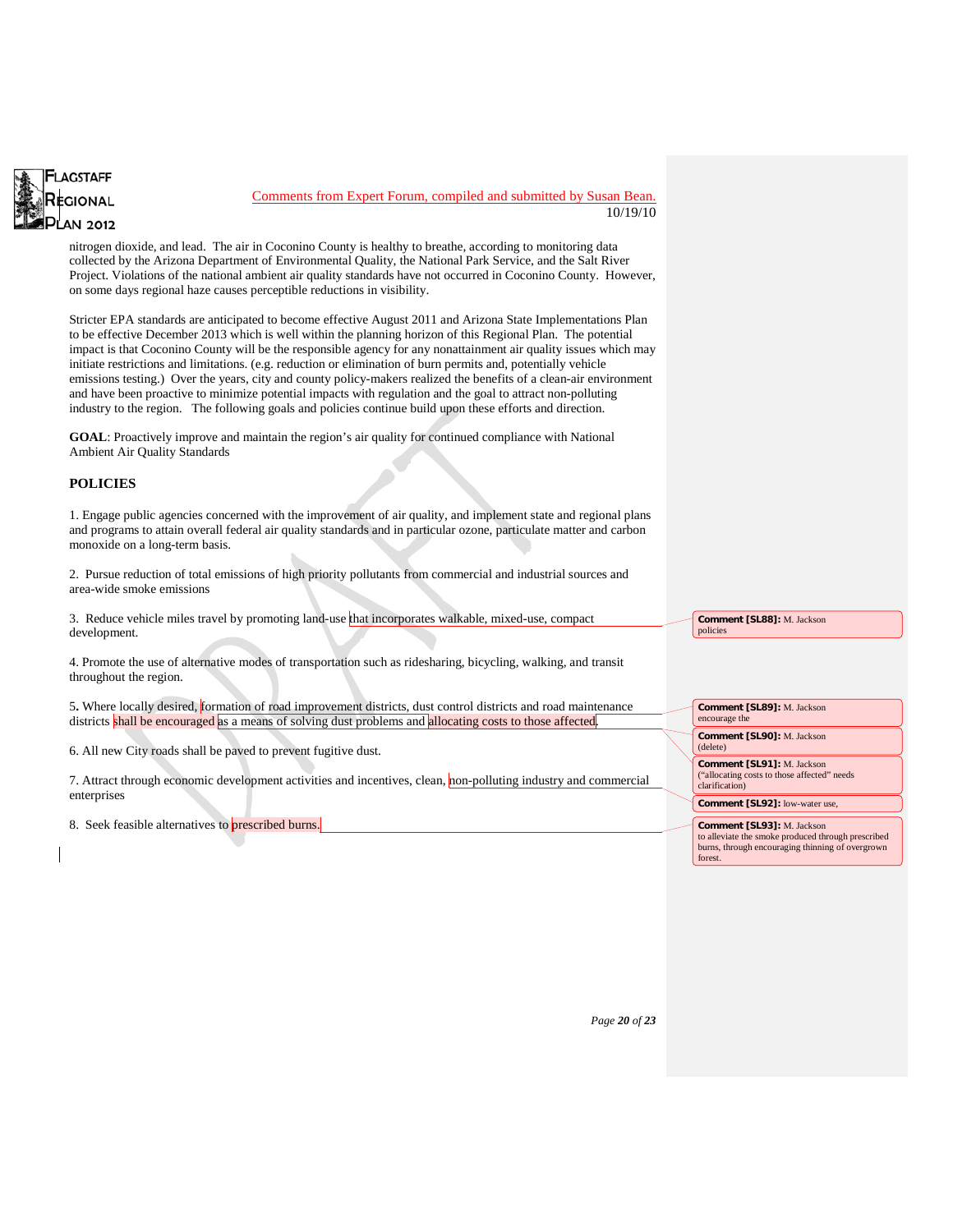

nitrogen dioxide, and lead. The air in Coconino County is healthy to breathe, according to monitoring data collected by the Arizona Department of Environmental Quality, the National Park Service, and the Salt River Project. Violations of the national ambient air quality standards have not occurred in Coconino County. However, on some days regional haze causes perceptible reductions in visibility.

Stricter EPA standards are anticipated to become effective August 2011 and Arizona State Implementations Plan to be effective December 2013 which is well within the planning horizon of this Regional Plan. The potential impact is that Coconino County will be the responsible agency for any nonattainment air quality issues which may initiate restrictions and limitations. (e.g. reduction or elimination of burn permits and, potentially vehicle emissions testing.) Over the years, city and county policy-makers realized the benefits of a clean-air environment and have been proactive to minimize potential impacts with regulation and the goal to attract non-polluting industry to the region. The following goals and policies continue build upon these efforts and direction.

**GOAL**: Proactively improve and maintain the region's air quality for continued compliance with National Ambient Air Quality Standards

### **POLICIES**

1. Engage public agencies concerned with the improvement of air quality, and implement state and regional plans and programs to attain overall federal air quality standards and in particular ozone, particulate matter and carbon monoxide on a long-term basis.

2. Pursue reduction of total emissions of high priority pollutants from commercial and industrial sources and area-wide smoke emissions

3. Reduce vehicle miles travel by promoting land-use that incorporates walkable, mixed-use, compact development.

4. Promote the use of alternative modes of transportation such as ridesharing, bicycling, walking, and transit throughout the region.

5**.** Where locally desired, formation of road improvement districts, dust control districts and road maintenance districts shall be encouraged as a means of solving dust problems and allocating costs to those affected.

6. All new City roads shall be paved to prevent fugitive dust.

7. Attract through economic development activities and incentives, clean, non-polluting industry and commercial enterprises

8. Seek feasible alternatives to prescribed burns.

**Comment [SL88]:** M. Jackson policies

**Comment [SL89]:** M. Jackson encourage the **Comment [SL90]:** M. Jackson (delete) **Comment [SL91]:** M. Jackson ("allocating costs to those affected" needs clarification) **Comment [SL92]:** low-water use,

**Comment [SL93]:** M. Jackson to alleviate the smoke produced through prescribed burns, through encouraging thinning of overgrown forest.

*Page 20 of 23*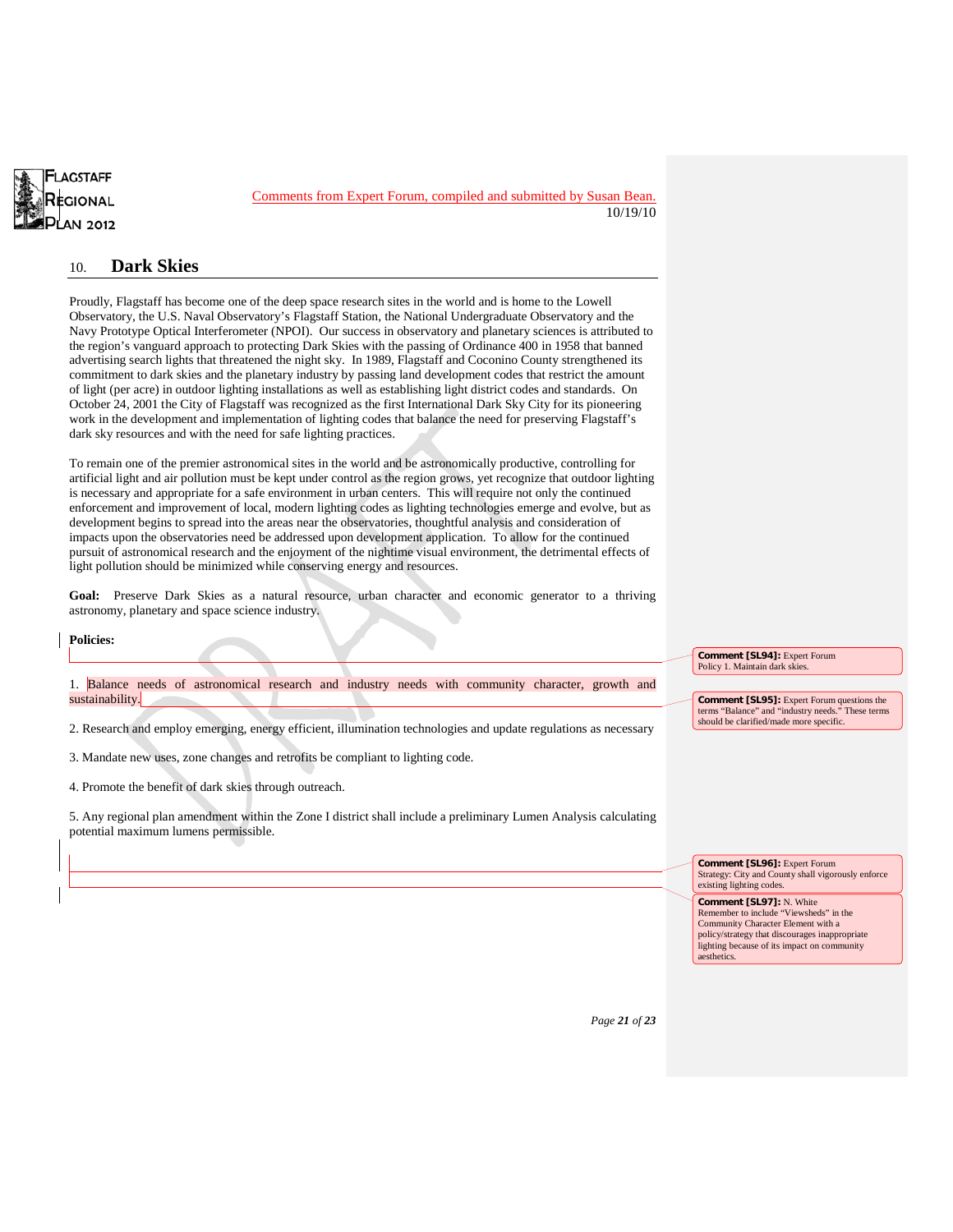

### 10. **Dark Skies**

Proudly, Flagstaff has become one of the deep space research sites in the world and is home to the Lowell Observatory, the U.S. Naval Observatory's Flagstaff Station, the National Undergraduate Observatory and the Navy Prototype Optical Interferometer (NPOI). Our success in observatory and planetary sciences is attributed to the region's vanguard approach to protecting Dark Skies with the passing of Ordinance 400 in 1958 that banned advertising search lights that threatened the night sky. In 1989, Flagstaff and Coconino County strengthened its commitment to dark skies and the planetary industry by passing land development codes that restrict the amount of light (per acre) in outdoor lighting installations as well as establishing light district codes and standards. On October 24, 2001 the City of Flagstaff was recognized as the first International Dark Sky City for its pioneering work in the development and implementation of lighting codes that balance the need for preserving Flagstaff's dark sky resources and with the need for safe lighting practices.

To remain one of the premier astronomical sites in the world and be astronomically productive, controlling for artificial light and air pollution must be kept under control as the region grows, yet recognize that outdoor lighting is necessary and appropriate for a safe environment in urban centers. This will require not only the continued enforcement and improvement of local, modern lighting codes as lighting technologies emerge and evolve, but as development begins to spread into the areas near the observatories, thoughtful analysis and consideration of impacts upon the observatories need be addressed upon development application. To allow for the continued pursuit of astronomical research and the enjoyment of the nightime visual environment, the detrimental effects of light pollution should be minimized while conserving energy and resources.

**Goal:** Preserve Dark Skies as a natural resource, urban character and economic generator to a thriving astronomy, planetary and space science industry.

**Policies:** 

1. Balance needs of astronomical research and industry needs with community character, growth and sustainability.

2. Research and employ emerging, energy efficient, illumination technologies and update regulations as necessary

3. Mandate new uses, zone changes and retrofits be compliant to lighting code.

4. Promote the benefit of dark skies through outreach.

5. Any regional plan amendment within the Zone I district shall include a preliminary Lumen Analysis calculating potential maximum lumens permissible.

**Comment [SL94]:** Expert Forum Policy 1. Maintain dark skies.

**Comment [SL95]:** Expert Forum questions the terms "Balance" and "industry needs." These terms should be clarified/made more specific

**Comment [SL96]:** Expert Forum Strategy: City and County shall vigorously enforce existing lighting codes.

**Comment [SL97]:** N. White Remember to include "Viewsheds" in the Community Character Element with a policy/strategy that discourages inappropriate lighting because of its impact on community aesthetics.

*Page 21 of 23*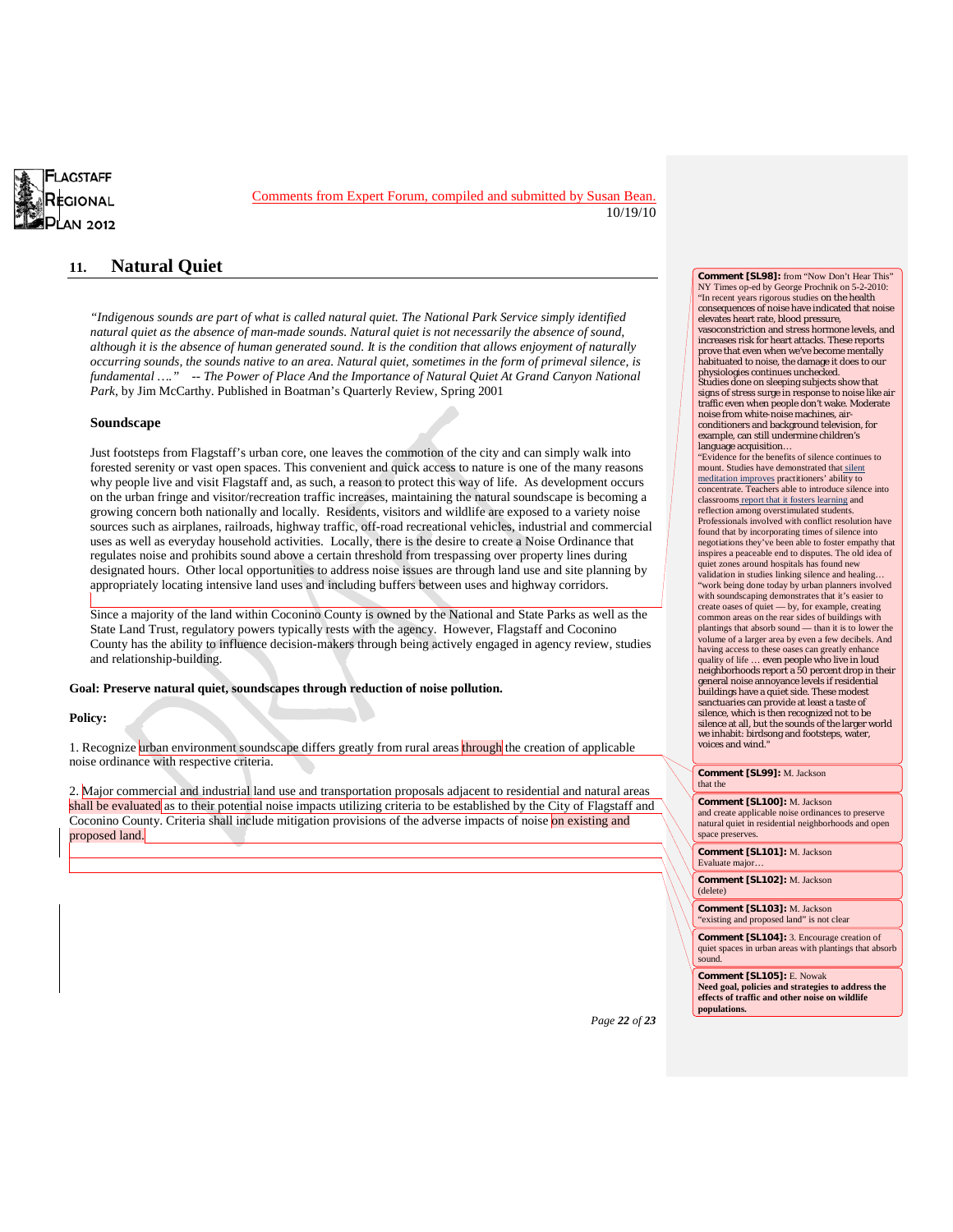

### **11. Natural Quiet**

*"Indigenous sounds are part of what is called natural quiet. The National Park Service simply identified natural quiet as the absence of man-made sounds. Natural quiet is not necessarily the absence of sound, although it is the absence of human generated sound. It is the condition that allows enjoyment of naturally occurring sounds, the sounds native to an area. Natural quiet, sometimes in the form of primeval silence, is fundamental …."* -- *The Power of Place And the Importance of Natural Quiet At Grand Canyon National Park*, by Jim McCarthy. Published in Boatman's Quarterly Review, Spring 2001

### **Soundscape**

Just footsteps from Flagstaff's urban core, one leaves the commotion of the city and can simply walk into forested serenity or vast open spaces. This convenient and quick access to nature is one of the many reasons why people live and visit Flagstaff and, as such, a reason to protect this way of life. As development occurs on the urban fringe and visitor/recreation traffic increases, maintaining the natural soundscape is becoming a growing concern both nationally and locally. Residents, visitors and wildlife are exposed to a variety noise sources such as airplanes, railroads, highway traffic, off-road recreational vehicles, industrial and commercial uses as well as everyday household activities. Locally, there is the desire to create a Noise Ordinance that regulates noise and prohibits sound above a certain threshold from trespassing over property lines during designated hours. Other local opportunities to address noise issues are through land use and site planning by appropriately locating intensive land uses and including buffers between uses and highway corridors.

Since a majority of the land within Coconino County is owned by the National and State Parks as well as the State Land Trust, regulatory powers typically rests with the agency. However, Flagstaff and Coconino County has the ability to influence decision-makers through being actively engaged in agency review, studies and relationship-building.

**Goal: Preserve natural quiet, soundscapes through reduction of noise pollution.**

### **Policy:**

1. Recognize urban environment soundscape differs greatly from rural areas through the creation of applicable noise ordinance with respective criteria.

2. Major commercial and industrial land use and transportation proposals adjacent to residential and natural areas shall be evaluated as to their potential noise impacts utilizing criteria to be established by the City of Flagstaff and Coconino County. Criteria shall include mitigation provisions of the adverse impacts of noise on existing and proposed land.

**Comment [SL98]:** from "Now Don't Hear This" NY Times op-ed by George Prochnik on 5-2-2010: "In recent years rigorous studies on the health consequences of noise have indicated that noise elevates heart rate, blood pressure, vasoconstriction and stress hormone levels, and increases risk for heart attacks. These reports prove that even when we've become mentally habituated to noise, the damage it does to our physiologies continues unchecked. Studies done on sleeping subjects show that signs of stress surge in response to noise like air traffic even when people don't wake. Moderate noise from white-noise machines, airconditioners and background television, for example, can still undermine children's language acquisition…

"Evidence for the benefits of silence continues to mount. Studies have demonstrated that silent [meditation improves](http://www.pnas.org/content/104/27/11483.abstract) practitioners' ability to concentrate. Teachers able to introduce silence into classrooms [report that it fosters learning](http://www.nytimes.com/2007/06/16/us/16mindful.html) and reflection among overstimulated students. Professionals involved with conflict resolution have found that by incorporating times of silence into negotiations they've been able to foster empathy that inspires a peaceable end to disputes. The old idea of quiet zones around hospitals has found new validation in studies linking silence and healing… "work being done today by urban planners involved with soundscaping demonstrates that it's easier to create oases of quiet — by, for example, creating common areas on the rear sides of buildings with plantings that absorb sound — than it is to lower the volume of a larger area by even a few decibels. And having access to these oases can greatly enhance quality of life … even people who live in loud neighborhoods report a 50 percent drop in their general noise annoyance levels if residential buildings have a quiet side. These modest sanctuaries can provide at least a taste of silence, which is then recognized not to be silence at all, but the sounds of the larger world we inhabit: birdsong and footsteps, water,

#### **Comment [SL99]:** M. Jackson that the

voices and wind."

**Comment [SL100]:** M. Jackson and create applicable noise ordinances to preserve natural quiet in residential neighborhoods and open space preserves.

**Comment [SL101]:** M. Jackson Evaluate major…

**Comment [SL102]:** M. Jackson (delete)

**Comment [SL103]:** M. Jackson "existing and proposed land" is not clear

**Comment [SL104]:** 3. Encourage creation of

quiet spaces in urban areas with plantings that absorb sound.

**Comment [SL105]:** E. Nowak **Need goal, policies and strategies to address the effects of traffic and other noise on wildlife populations.**

*Page 22 of 23*